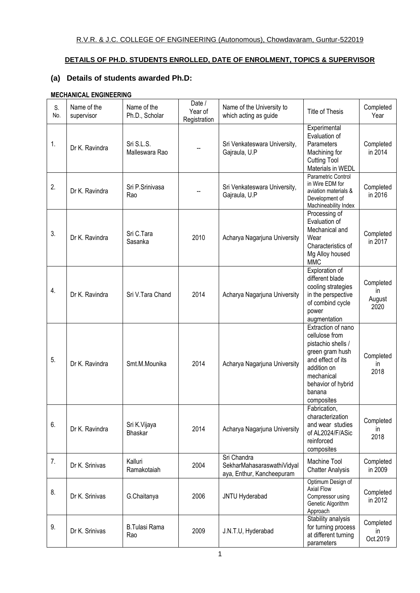### **DETAILS OF PH.D. STUDENTS ENROLLED, DATE OF ENROLMENT, TOPICS & SUPERVISOR**

## **(a) Details of students awarded Ph.D:**

### **MECHANICAL ENGINEERING**

| S.<br>No. | Name of the<br>supervisor | Name of the<br>Ph.D., Scholar  | Date /<br>Year of<br>Registration | Name of the University to<br>which acting as guide                     | Title of Thesis                                                                                                                                                               | Completed<br>Year                  |
|-----------|---------------------------|--------------------------------|-----------------------------------|------------------------------------------------------------------------|-------------------------------------------------------------------------------------------------------------------------------------------------------------------------------|------------------------------------|
| 1.        | Dr K. Ravindra            | Sri S.L.S.<br>Malleswara Rao   |                                   | Sri Venkateswara University,<br>Gajraula, U.P                          | Experimental<br>Evaluation of<br>Parameters<br>Machining for<br><b>Cutting Tool</b><br>Materials in WEDL                                                                      | Completed<br>in 2014               |
| 2.        | Dr K. Ravindra            | Sri P.Srinivasa<br>Rao         |                                   | Sri Venkateswara University,<br>Gajraula, U.P                          | Parametric Control<br>in Wire EDM for<br>aviation materials &<br>Development of<br>Machineability Index                                                                       | Completed<br>in 2016               |
| 3.        | Dr K. Ravindra            | Sri C.Tara<br>Sasanka          | 2010                              | Acharya Nagarjuna University                                           | Processing of<br>Evaluation of<br>Mechanical and<br>Wear<br>Characteristics of<br>Mg Alloy housed<br><b>MMC</b>                                                               | Completed<br>in 2017               |
| 4.        | Dr K. Ravindra            | Sri V.Tara Chand               | 2014                              | Acharya Nagarjuna University                                           | Exploration of<br>different blade<br>cooling strategies<br>in the perspective<br>of combind cycle<br>power<br>augmentation                                                    | Completed<br>in.<br>August<br>2020 |
| 5.        | Dr K. Ravindra            | Smt.M.Mounika                  | 2014                              | Acharya Nagarjuna University                                           | Extraction of nano<br>cellulose from<br>pistachio shells /<br>green gram hush<br>and effect of its<br>addition on<br>mechanical<br>behavior of hybrid<br>banana<br>composites | Completed<br>in<br>2018            |
| 6.        | Dr K. Ravindra            | Sri K.Vijaya<br><b>Bhaskar</b> | 2014                              | Acharya Nagarjuna University                                           | Fabrication,<br>characterization<br>and wear studies<br>of AL2024/F/ASic<br>reinforced<br>composites                                                                          | Completed<br>ın<br>2018            |
| 7.        | Dr K. Srinivas            | Kalluri<br>Ramakotaiah         | 2004                              | Sri Chandra<br>SekharMahasaraswathiVidyal<br>aya, Enthur, Kancheepuram | Machine Tool<br><b>Chatter Analysis</b>                                                                                                                                       | Completed<br>in 2009               |
| 8.        | Dr K. Srinivas            | G.Chaitanya                    | 2006                              | JNTU Hyderabad                                                         | Optimum Design of<br><b>Axial Flow</b><br>Compressor using<br>Genetic Algorithm<br>Approach                                                                                   | Completed<br>in 2012               |
| 9.        | Dr K. Srinivas            | <b>B.Tulasi Rama</b><br>Rao    | 2009                              | J.N.T.U, Hyderabad                                                     | Stability analysis<br>for turning process<br>at different turning<br>parameters                                                                                               | Completed<br>ın<br>Oct.2019        |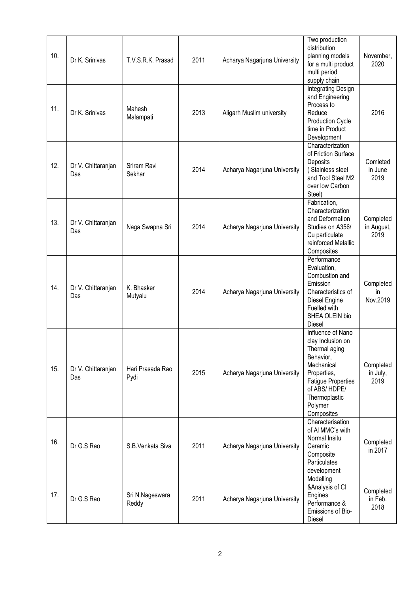| 10. | Dr K. Srinivas            | T.V.S.R.K. Prasad        | 2011 | Acharya Nagarjuna University | Two production<br>distribution<br>planning models<br>for a multi product<br>multi period<br>supply chain                                                                                 | November,<br>2020               |
|-----|---------------------------|--------------------------|------|------------------------------|------------------------------------------------------------------------------------------------------------------------------------------------------------------------------------------|---------------------------------|
| 11. | Dr K. Srinivas            | Mahesh<br>Malampati      | 2013 | Aligarh Muslim university    | Integrating Design<br>and Engineering<br>Process to<br>Reduce<br>Production Cycle<br>time in Product<br>Development                                                                      | 2016                            |
| 12. | Dr V. Chittaranjan<br>Das | Sriram Ravi<br>Sekhar    | 2014 | Acharya Nagarjuna University | Characterization<br>of Friction Surface<br>Deposits<br>(Stainless steel<br>and Tool Steel M2<br>over low Carbon<br>Steel)                                                                | Comleted<br>in June<br>2019     |
| 13. | Dr V. Chittaranjan<br>Das | Naga Swapna Sri          | 2014 | Acharya Nagarjuna University | Fabrication,<br>Characterization<br>and Deformation<br>Studies on A356/<br>Cu particulate<br>reinforced Metallic<br>Composites                                                           | Completed<br>in August,<br>2019 |
| 14. | Dr V. Chittaranjan<br>Das | K. Bhasker<br>Mutyalu    | 2014 | Acharya Nagarjuna University | Performance<br>Evaluation,<br>Combustion and<br>Emission<br>Characteristics of<br>Diesel Engine<br>Fuelled with<br>SHEA OLEIN bio<br><b>Diesel</b>                                       | Completed<br>in<br>Nov.2019     |
| 15. | Dr V. Chittaranjan<br>Das | Hari Prasada Rao<br>Pydi | 2015 | Acharya Nagarjuna University | Influence of Nano<br>clay Inclusion on<br>Thermal aging<br>Behavior,<br>Mechanical<br>Properties,<br><b>Fatigue Properties</b><br>of ABS/HDPE/<br>Thermoplastic<br>Polymer<br>Composites | Completed<br>in July,<br>2019   |
| 16. | Dr G.S Rao                | S.B.Venkata Siva         | 2011 | Acharya Nagarjuna University | Characterisation<br>of Al MMC's with<br>Normal Insitu<br>Ceramic<br>Composite<br>Particulates<br>development                                                                             | Completed<br>in 2017            |
| 17. | Dr G.S Rao                | Sri N.Nageswara<br>Reddy | 2011 | Acharya Nagarjuna University | Modelling<br>&Analysis of CI<br>Engines<br>Performance &<br>Emissions of Bio-<br>Diesel                                                                                                  | Completed<br>in Feb.<br>2018    |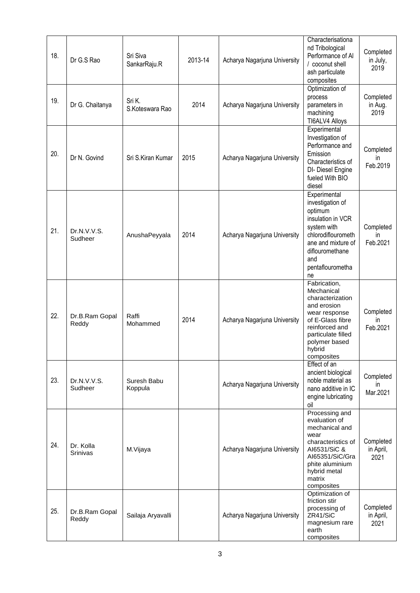| 18. | Dr G.S Rao              | Sri Siva<br>SankarRaju.R  | 2013-14 | Acharya Nagarjuna University | Characterisationa<br>nd Tribological<br>Performance of Al<br>/ coconut shell<br>ash particulate<br>composites                                                                       | Completed<br>in July,<br>2019  |
|-----|-------------------------|---------------------------|---------|------------------------------|-------------------------------------------------------------------------------------------------------------------------------------------------------------------------------------|--------------------------------|
| 19. | Dr G. Chaitanya         | Sri K.<br>S.Koteswara Rao | 2014    | Acharya Nagarjuna University | Optimization of<br>process<br>parameters in<br>machining<br>TI6ALV4 Alloys                                                                                                          | Completed<br>in Aug.<br>2019   |
| 20. | Dr N. Govind            | Sri S.Kiran Kumar         | 2015    | Acharya Nagarjuna University | Experimental<br>Investigation of<br>Performance and<br>Emission<br>Characteristics of<br>DI- Diesel Engine<br>fueled With BIO<br>diesel                                             | Completed<br>ın<br>Feb.2019    |
| 21. | Dr.N.V.V.S.<br>Sudheer  | AnushaPeyyala             | 2014    | Acharya Nagarjuna University | Experimental<br>investigation of<br>optimum<br>insulation in VCR<br>system with<br>chlorodiflourometh<br>ane and mixture of<br>diflouromethane<br>and<br>pentaflourometha<br>ne     | Completed<br>in<br>Feb.2021    |
| 22. | Dr.B.Ram Gopal<br>Reddy | Raffi<br>Mohammed         | 2014    | Acharya Nagarjuna University | Fabrication,<br>Mechanical<br>characterization<br>and erosion<br>wear response<br>of E-Glass fibre<br>reinforced and<br>particulate filled<br>polymer based<br>hybrid<br>composites | Completed<br>in<br>Feb.2021    |
| 23. | Dr.N.V.V.S.<br>Sudheer  | Suresh Babu<br>Koppula    |         | Acharya Nagarjuna University | Effect of an<br>ancient biological<br>noble material as<br>nano additive in IC<br>engine lubricating<br>oil                                                                         | Completed<br>in.<br>Mar.2021   |
| 24. | Dr. Kolla<br>Srinivas   | M.Vijaya                  |         | Acharya Nagarjuna University | Processing and<br>evaluation of<br>mechanical and<br>wear<br>characteristics of<br>AI6531/SiC &<br>AI65351/SiC/Gra<br>phite aluminium<br>hybrid metal<br>matrix<br>composites       | Completed<br>in April,<br>2021 |
| 25. | Dr.B.Ram Gopal<br>Reddy | Sailaja Aryavalli         |         | Acharya Nagarjuna University | Optimization of<br>friction stir<br>processing of<br>ZR41/SiC<br>magnesium rare<br>earth<br>composites                                                                              | Completed<br>in April,<br>2021 |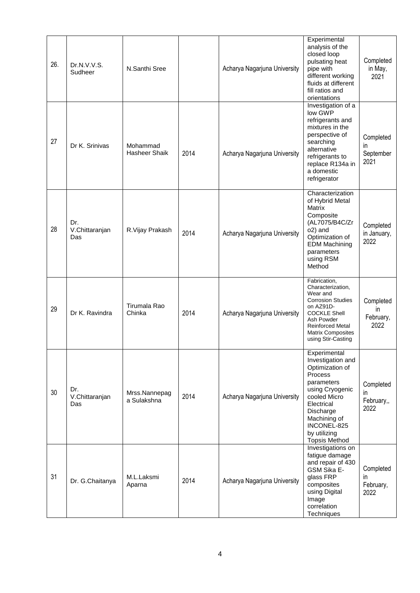| 26. | Dr.N.V.V.S.<br>Sudheer       | N.Santhi Sree                |      | Acharya Nagarjuna University | Experimental<br>analysis of the<br>closed loop<br>pulsating heat<br>pipe with<br>different working<br>fluids at different<br>fill ratios and<br>orientations                                                       | Completed<br>in May,<br>2021                    |
|-----|------------------------------|------------------------------|------|------------------------------|--------------------------------------------------------------------------------------------------------------------------------------------------------------------------------------------------------------------|-------------------------------------------------|
| 27  | Dr K. Srinivas               | Mohammad<br>Hasheer Shaik    | 2014 | Acharya Nagarjuna University | Investigation of a<br>low GWP<br>refrigerants and<br>mixtures in the<br>perspective of<br>searching<br>alternative<br>refrigerants to<br>replace R134a in<br>a domestic<br>refrigerator                            | Completed<br>in.<br>September<br>2021           |
| 28  | Dr.<br>V.Chittaranjan<br>Das | R.Vijay Prakash              | 2014 | Acharya Nagarjuna University | Characterization<br>of Hybrid Metal<br>Matrix<br>Composite<br>(AL7075/B4C/Zr<br>o2) and<br>Optimization of<br><b>EDM Machining</b><br>parameters<br>using RSM<br>Method                                            | Completed<br>in January,<br>2022                |
| 29  | Dr K. Ravindra               | Tirumala Rao<br>Chinka       | 2014 | Acharya Nagarjuna University | Fabrication,<br>Characterization,<br>Wear and<br><b>Corrosion Studies</b><br>on AZ91D-<br><b>COCKLE Shell</b><br>Ash Powder<br><b>Reinforced Metal</b><br><b>Matrix Composites</b><br>using Stir-Casting           | Completed<br>in.<br>February,<br>2022           |
| 30  | Dr.<br>V.Chittaranjan<br>Das | Mrss.Nannepag<br>a Sulakshna | 2014 | Acharya Nagarjuna University | Experimental<br>Investigation and<br>Optimization of<br>Process<br>parameters<br>using Cryogenic<br>cooled Micro<br>Electrical<br>Discharge<br>Machining of<br>INCONEL-825<br>by utilizing<br><b>Topsis Method</b> | Completed<br>$\mathsf{I}$<br>February,,<br>2022 |
| 31  | Dr. G.Chaitanya              | M.L.Laksmi<br>Aparna         | 2014 | Acharya Nagarjuna University | Investigations on<br>fatigue damage<br>and repair of 430<br>GSM Sika E-<br>glass FRP<br>composites<br>using Digital<br>Image<br>correlation<br>Techniques                                                          | Completed<br>in.<br>February,<br>2022           |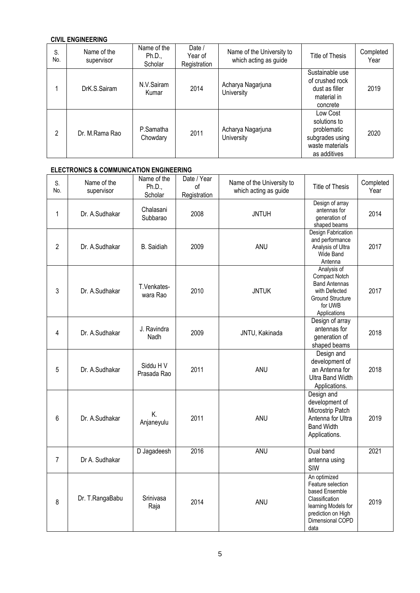### **CIVIL ENGINEERING**

| S.<br>No. | Name of the<br>supervisor | Name of the<br>Ph.D.,<br>Scholar | Date /<br>Year of<br>Registration | Name of the University to<br>which acting as guide | Title of Thesis                                                                               | Completed<br>Year |
|-----------|---------------------------|----------------------------------|-----------------------------------|----------------------------------------------------|-----------------------------------------------------------------------------------------------|-------------------|
|           | DrK.S.Sairam              | N.V.Sairam<br>Kumar              | 2014                              | Acharya Nagarjuna<br>University                    | Sustainable use<br>of crushed rock<br>dust as filler<br>material in<br>concrete               | 2019              |
| 2         | Dr. M.Rama Rao            | P.Samatha<br>Chowdary            | 2011                              | Acharya Nagarjuna<br>University                    | Low Cost<br>solutions to<br>problematic<br>subgrades using<br>waste materials<br>as additives | 2020              |

### **ELECTRONICS & COMMUNICATION ENGINEERING**

| S.<br>No.      | Name of the<br>supervisor | Name of the<br>Ph.D.,<br>Scholar | Date / Year<br>οf<br>Registration | Name of the University to<br>which acting as guide | Title of Thesis                                                                                                                                | Completed<br>Year |
|----------------|---------------------------|----------------------------------|-----------------------------------|----------------------------------------------------|------------------------------------------------------------------------------------------------------------------------------------------------|-------------------|
| 1              | Dr. A.Sudhakar            | Chalasani<br>Subbarao            | 2008                              | <b>JNTUH</b>                                       | Design of array<br>antennas for<br>generation of<br>shaped beams                                                                               | 2014              |
| $\overline{2}$ | Dr. A.Sudhakar            | <b>B.</b> Saidiah                | 2009                              | ANU                                                | Design Fabrication<br>and performance<br>Analysis of Ultra<br>Wide Band<br>Antenna                                                             | 2017              |
| 3              | Dr. A.Sudhakar            | T.Venkates-<br>wara Rao          | 2010                              | <b>JNTUK</b>                                       | Analysis of<br>Compact Notch<br><b>Band Antennas</b><br>with Defected<br><b>Ground Structure</b><br>for UWB<br>Applications                    | 2017              |
| 4              | Dr. A.Sudhakar            | J. Ravindra<br>Nadh              | 2009                              | JNTU, Kakinada                                     | Design of array<br>antennas for<br>generation of<br>shaped beams                                                                               | 2018              |
| 5              | Dr. A.Sudhakar            | Siddu H V<br>Prasada Rao         | 2011                              | <b>ANU</b>                                         | Design and<br>development of<br>an Antenna for<br><b>Ultra Band Width</b><br>Applications.                                                     | 2018              |
| 6              | Dr. A.Sudhakar            | K.<br>Anjaneyulu                 | 2011                              | ANU                                                | Design and<br>development of<br>Microstrip Patch<br>Antenna for Ultra<br><b>Band Width</b><br>Applications.                                    | 2019              |
| $\overline{7}$ | Dr A. Sudhakar            | D Jagadeesh                      | 2016                              | <b>ANU</b>                                         | Dual band<br>antenna using<br>SIW                                                                                                              | 2021              |
| 8              | Dr. T.RangaBabu           | Srinivasa<br>Raja                | 2014                              | <b>ANU</b>                                         | An optimized<br>Feature selection<br>based Ensemble<br>Classification<br>learning Models for<br>prediction on High<br>Dimensional COPD<br>data | 2019              |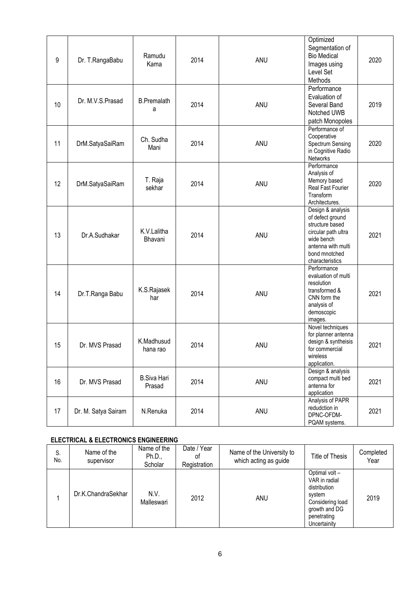| 9  | Dr. T.RangaBabu     | Ramudu<br>Kama               | 2014 | ANU | Optimized<br>Segmentation of<br><b>Bio Medical</b><br>Images using<br>Level Set<br>Methods                                                              | 2020 |
|----|---------------------|------------------------------|------|-----|---------------------------------------------------------------------------------------------------------------------------------------------------------|------|
| 10 | Dr. M.V.S.Prasad    | <b>B.Premalath</b><br>а      | 2014 | ANU | Performance<br>Evaluation of<br>Several Band<br>Notched UWB<br>patch Monopoles                                                                          | 2019 |
| 11 | DrM.SatyaSaiRam     | Ch. Sudha<br>Mani            | 2014 | ANU | Performance of<br>Cooperative<br>Spectrum Sensing<br>in Cognitive Radio<br>Networks                                                                     | 2020 |
| 12 | DrM.SatyaSaiRam     | T. Raja<br>sekhar            | 2014 | ANU | Performance<br>Analysis of<br>Memory based<br>Real Fast Fourier<br>Transform<br>Architectures.                                                          | 2020 |
| 13 | Dr.A.Sudhakar       | K.V.Lalitha<br>Bhavani       | 2014 | ANU | Design & analysis<br>of defect ground<br>structure based<br>circular path ultra<br>wide bench<br>antenna with multi<br>bond mnotched<br>characteristics | 2021 |
| 14 | Dr.T.Ranga Babu     | K.S.Rajasek<br>har           | 2014 | ANU | Performance<br>evaluation of multi<br>resolution<br>transformed &<br>CNN form the<br>analysis of<br>demoscopic<br>images.                               | 2021 |
| 15 | Dr. MVS Prasad      | K.Madhusud<br>hana rao       | 2014 | ANU | Novel techniques<br>for planner antenna<br>design & syntheisis<br>for commercial<br>wireless<br>application.                                            | 2021 |
| 16 | Dr. MVS Prasad      | <b>B.Siva Hari</b><br>Prasad | 2014 | ANU | Design & analysis<br>compact multi bed<br>antenna for<br>application                                                                                    | 2021 |
| 17 | Dr. M. Satya Sairam | N.Renuka                     | 2014 | ANU | Analysis of PAPR<br>redudction in<br>DPNC-OFDM-<br>PQAM systems.                                                                                        | 2021 |

### **ELECTRICAL & ELECTRONICS ENGINEERING**

| S.<br>No. | Name of the<br>supervisor | Name of the<br>Ph.D.,<br>Scholar | Date / Year<br>οf<br>Registration | Name of the University to<br>which acting as guide | Title of Thesis                                                                                                              | Completed<br>Year |
|-----------|---------------------------|----------------------------------|-----------------------------------|----------------------------------------------------|------------------------------------------------------------------------------------------------------------------------------|-------------------|
|           | Dr.K.ChandraSekhar        | N.V.<br>Malleswari               | 2012                              | ANU                                                | Optimal volt-<br>VAR in radial<br>distribution<br>system<br>Considering load<br>growth and DG<br>penetrating<br>Uncertainity | 2019              |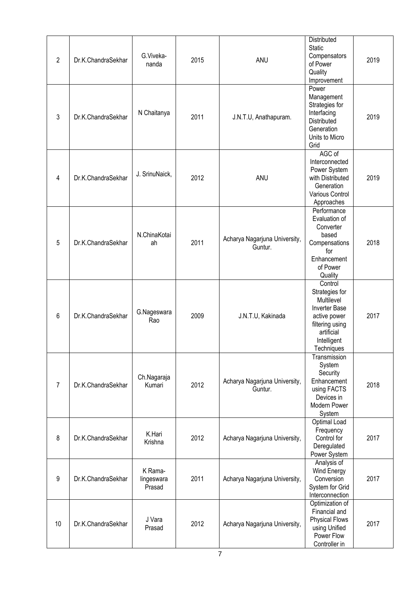| $\overline{2}$ | Dr.K.ChandraSekhar | G.Viveka-<br>nanda              | 2015 | ANU                                      | Distributed<br><b>Static</b><br>Compensators<br>of Power<br>Quality<br>Improvement                                                            | 2019 |
|----------------|--------------------|---------------------------------|------|------------------------------------------|-----------------------------------------------------------------------------------------------------------------------------------------------|------|
| 3              | Dr.K.ChandraSekhar | N Chaitanya                     | 2011 | J.N.T.U, Anathapuram.                    | Power<br>Management<br>Strategies for<br>Interfacing<br>Distributed<br>Generation<br>Units to Micro<br>Grid                                   | 2019 |
| 4              | Dr.K.ChandraSekhar | J. SrinuNaick,                  | 2012 | ANU                                      | AGC of<br>Interconnected<br>Power System<br>with Distributed<br>Generation<br>Various Control<br>Approaches                                   | 2019 |
| 5              | Dr.K.ChandraSekhar | N.ChinaKotai<br>ah              | 2011 | Acharya Nagarjuna University,<br>Guntur. | Performance<br>Evaluation of<br>Converter<br>based<br>Compensations<br>for<br>Enhancement<br>of Power<br>Quality                              | 2018 |
| 6              | Dr.K.ChandraSekhar | G.Nageswara<br>Rao              | 2009 | J.N.T.U, Kakinada                        | Control<br>Strategies for<br>Multilevel<br><b>Inverter Base</b><br>active power<br>filtering using<br>artificial<br>Intelligent<br>Techniques | 2017 |
| $\overline{7}$ | Dr.K.ChandraSekhar | Ch.Nagaraja<br>Kumari           | 2012 | Acharya Nagarjuna University,<br>Guntur. | Transmission<br>System<br>Security<br>Enhancement<br>using FACTS<br>Devices in<br>Modern Power<br>System                                      | 2018 |
| 8              | Dr.K.ChandraSekhar | K.Hari<br>Krishna               | 2012 | Acharya Nagarjuna University,            | Optimal Load<br>Frequency<br>Control for<br>Deregulated<br>Power System                                                                       | 2017 |
| 9              | Dr.K.ChandraSekhar | K Rama-<br>lingeswara<br>Prasad | 2011 | Acharya Nagarjuna University,            | Analysis of<br>Wind Energy<br>Conversion<br>System for Grid<br>Interconnection                                                                | 2017 |
| 10             | Dr.K.ChandraSekhar | J Vara<br>Prasad                | 2012 | Acharya Nagarjuna University,            | Optimization of<br>Financial and<br><b>Physical Flows</b><br>using Unified<br>Power Flow<br>Controller in                                     | 2017 |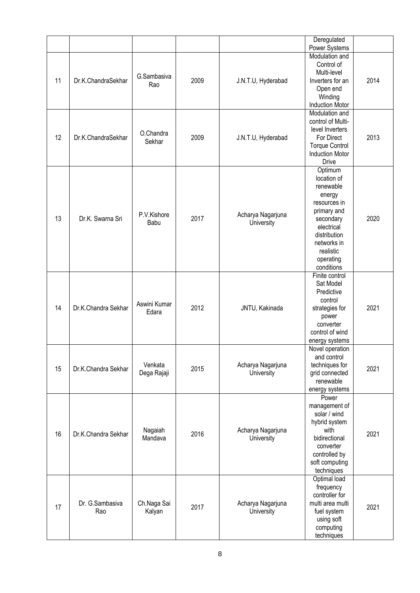|    |                     |              |      |                    | Deregulated                                     |      |
|----|---------------------|--------------|------|--------------------|-------------------------------------------------|------|
|    |                     |              |      |                    | Power Systems                                   |      |
|    |                     |              |      |                    | Modulation and                                  |      |
|    |                     |              |      |                    | Control of                                      |      |
|    |                     | G.Sambasiva  |      |                    | Multi-level                                     |      |
| 11 | Dr.K.ChandraSekhar  |              | 2009 | J.N.T.U, Hyderabad | Inverters for an                                | 2014 |
|    |                     | Rao          |      |                    | Open end                                        |      |
|    |                     |              |      |                    | Winding                                         |      |
|    |                     |              |      |                    | <b>Induction Motor</b>                          |      |
|    |                     |              |      |                    | Modulation and                                  |      |
|    |                     |              |      |                    | control of Multi-                               |      |
|    |                     |              |      |                    | level Inverters                                 |      |
| 12 | Dr.K.ChandraSekhar  | O.Chandra    | 2009 |                    | For Direct                                      | 2013 |
|    |                     | Sekhar       |      | J.N.T.U, Hyderabad |                                                 |      |
|    |                     |              |      |                    | <b>Torque Control</b><br><b>Induction Motor</b> |      |
|    |                     |              |      |                    |                                                 |      |
|    |                     |              |      |                    | <b>Drive</b>                                    |      |
|    |                     |              |      |                    | Optimum                                         |      |
|    |                     |              |      |                    | location of                                     |      |
|    |                     |              |      |                    | renewable                                       |      |
|    |                     |              |      |                    | energy                                          |      |
|    |                     |              |      |                    | resources in                                    |      |
|    |                     | P.V.Kishore  |      | Acharya Nagarjuna  | primary and                                     |      |
| 13 | Dr.K. Swarna Sri    | Babu         | 2017 | University         | secondary                                       | 2020 |
|    |                     |              |      |                    | electrical                                      |      |
|    |                     |              |      |                    | distribution                                    |      |
|    |                     |              |      |                    | networks in                                     |      |
|    |                     |              |      |                    | realistic                                       |      |
|    |                     |              |      |                    | operating                                       |      |
|    |                     |              |      |                    | conditions                                      |      |
|    |                     |              |      |                    | Finite control                                  |      |
|    |                     |              |      |                    | Sat Model                                       |      |
|    |                     |              |      |                    | Predictive                                      |      |
|    |                     |              |      |                    | control                                         |      |
| 14 | Dr.K.Chandra Sekhar | Aswini Kumar | 2012 | JNTU, Kakinada     | strategies for                                  | 2021 |
|    |                     | Edara        |      |                    | power                                           |      |
|    |                     |              |      |                    | converter                                       |      |
|    |                     |              |      |                    | control of wind                                 |      |
|    |                     |              |      |                    |                                                 |      |
|    |                     |              |      |                    | energy systems<br>Novel operation               |      |
|    |                     |              |      |                    |                                                 |      |
|    |                     | Venkata      |      |                    | and control<br>techniques for                   |      |
| 15 | Dr.K.Chandra Sekhar |              | 2015 | Acharya Nagarjuna  |                                                 | 2021 |
|    |                     | Dega Rajaji  |      | University         | grid connected                                  |      |
|    |                     |              |      |                    | renewable                                       |      |
|    |                     |              |      |                    | energy systems                                  |      |
|    |                     |              |      |                    | Power                                           |      |
|    |                     |              |      |                    | management of                                   |      |
|    |                     |              |      |                    | solar / wind                                    |      |
|    |                     |              |      |                    | hybrid system                                   |      |
| 16 | Dr.K.Chandra Sekhar | Nagaiah      | 2016 | Acharya Nagarjuna  | with                                            | 2021 |
|    |                     | Mandava      |      | University         | bidirectional                                   |      |
|    |                     |              |      |                    | converter                                       |      |
|    |                     |              |      |                    | controlled by                                   |      |
|    |                     |              |      |                    | soft computing                                  |      |
|    |                     |              |      |                    | techniques                                      |      |
|    |                     |              |      |                    | Optimal load                                    |      |
|    |                     |              |      |                    | frequency                                       |      |
|    |                     |              |      |                    | controller for                                  |      |
|    | Dr. G.Sambasiva     | Ch.Naga Sai  |      | Acharya Nagarjuna  | multi area multi                                |      |
| 17 | Rao                 | Kalyan       | 2017 | University         | fuel system                                     | 2021 |
|    |                     |              |      |                    | using soft                                      |      |
|    |                     |              |      |                    | computing                                       |      |
|    |                     |              |      |                    | techniques                                      |      |
|    |                     |              |      |                    |                                                 |      |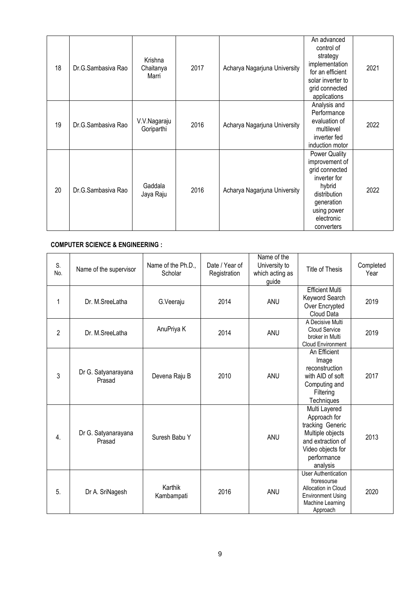| 18 | Dr.G.Sambasiya Rao | Krishna<br>Chaitanya<br>Marri | 2017 | Acharya Nagarjuna University | An advanced<br>control of<br>strategy<br>implementation<br>for an efficient<br>solar inverter to<br>grid connected<br>applications                          | 2021 |
|----|--------------------|-------------------------------|------|------------------------------|-------------------------------------------------------------------------------------------------------------------------------------------------------------|------|
| 19 | Dr.G.Sambasiya Rao | V.V.Nagaraju<br>Goriparthi    | 2016 | Acharya Nagarjuna University | Analysis and<br>Performance<br>evaluation of<br>multilevel<br>inverter fed<br>induction motor                                                               | 2022 |
| 20 | Dr.G.Sambasiya Rao | Gaddala<br>Jaya Raju          | 2016 | Acharya Nagarjuna University | <b>Power Quality</b><br>improvement of<br>grid connected<br>inverter for<br>hybrid<br>distribution<br>generation<br>using power<br>electronic<br>converters | 2022 |

## **COMPUTER SCIENCE & ENGINEERING :**

| S.<br>No.        | Name of the supervisor        | Name of the Ph.D.,<br>Scholar | Date / Year of<br>Registration | Name of the<br>University to<br>which acting as<br>guide | Title of Thesis                                                                                                                            | Completed<br>Year |
|------------------|-------------------------------|-------------------------------|--------------------------------|----------------------------------------------------------|--------------------------------------------------------------------------------------------------------------------------------------------|-------------------|
| 1                | Dr. M.SreeLatha               | G.Veeraju                     | 2014                           | <b>ANU</b>                                               | <b>Efficient Multi</b><br>Keyword Search<br>Over Encrypted<br>Cloud Data                                                                   | 2019              |
| $\overline{2}$   | Dr. M.SreeLatha               | AnuPriya K                    | 2014                           | ANU                                                      | A Decisive Multi<br><b>Cloud Service</b><br>broker in Multi<br><b>Cloud Environment</b>                                                    | 2019              |
| 3                | Dr G. Satyanarayana<br>Prasad | Devena Raju B                 | 2010                           | ANU                                                      | An Efficient<br>Image<br>reconstruction<br>with AID of soft<br>Computing and<br>Filtering<br>Techniques                                    | 2017              |
| $\overline{4}$ . | Dr G. Satyanarayana<br>Prasad | Suresh Babu Y                 |                                | <b>ANU</b>                                               | Multi Layered<br>Approach for<br>tracking Generic<br>Multiple objects<br>and extraction of<br>Video objects for<br>performance<br>analysis | 2013              |
| 5.               | Dr A. SriNagesh               | Karthik<br>Kambampati         | 2016                           | ANU                                                      | <b>User Authentication</b><br>froresourse<br>Allocation in Cloud<br><b>Environment Using</b><br>Machine Learning<br>Approach               | 2020              |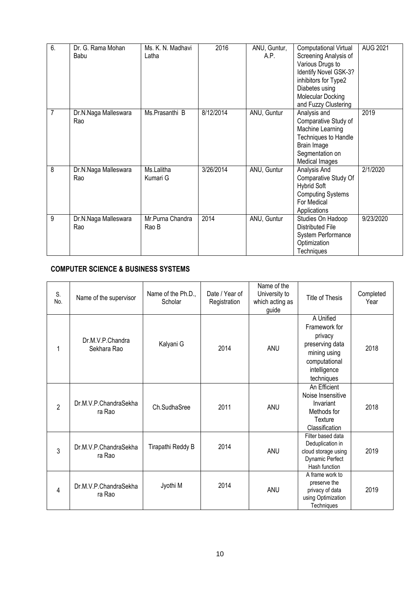| 6.             | Dr. G. Rama Mohan    | Ms. K. N. Madhavi | 2016      | ANU, Guntur, | <b>Computational Virtual</b> | <b>AUG 2021</b> |
|----------------|----------------------|-------------------|-----------|--------------|------------------------------|-----------------|
|                | Babu                 | Latha             |           | A.P.         | Screening Analysis of        |                 |
|                |                      |                   |           |              | Various Drugs to             |                 |
|                |                      |                   |           |              | Identify Novel GSK-3?        |                 |
|                |                      |                   |           |              | inhibitors for Type2         |                 |
|                |                      |                   |           |              | Diabetes using               |                 |
|                |                      |                   |           |              | Molecular Docking            |                 |
|                |                      |                   |           |              | and Fuzzy Clustering         |                 |
| $\overline{7}$ | Dr.N.Naga Malleswara | Ms.Prasanthi B    | 8/12/2014 | ANU, Guntur  | Analysis and                 | 2019            |
|                | Rao                  |                   |           |              | Comparative Study of         |                 |
|                |                      |                   |           |              | Machine Learning             |                 |
|                |                      |                   |           |              | Techniques to Handle         |                 |
|                |                      |                   |           |              | Brain Image                  |                 |
|                |                      |                   |           |              | Segmentation on              |                 |
|                |                      |                   |           |              | Medical Images               |                 |
| 8              | Dr.N.Naga Malleswara | Ms.Lalitha        | 3/26/2014 | ANU, Guntur  | Analysis And                 | 2/1/2020        |
|                | Rao                  | Kumari G          |           |              | Comparative Study Of         |                 |
|                |                      |                   |           |              | <b>Hybrid Soft</b>           |                 |
|                |                      |                   |           |              | <b>Computing Systems</b>     |                 |
|                |                      |                   |           |              | For Medical                  |                 |
|                |                      |                   |           |              | Applications                 |                 |
| 9              | Dr.N.Naga Malleswara | Mr.Purna Chandra  | 2014      | ANU, Guntur  | Studies On Hadoop            | 9/23/2020       |
|                | Rao                  | Rao B             |           |              | Distributed File             |                 |
|                |                      |                   |           |              | System Performance           |                 |
|                |                      |                   |           |              | Optimization                 |                 |
|                |                      |                   |           |              | <b>Techniques</b>            |                 |

## **COMPUTER SCIENCE & BUSINESS SYSTEMS**

| S.<br>No.      | Name of the supervisor          | Name of the Ph.D.,<br>Scholar | Date / Year of<br>Registration | Name of the<br>University to<br>which acting as<br>guide | Title of Thesis                                                                                                         | Completed<br>Year |
|----------------|---------------------------------|-------------------------------|--------------------------------|----------------------------------------------------------|-------------------------------------------------------------------------------------------------------------------------|-------------------|
| 1              | Dr.M.V.P.Chandra<br>Sekhara Rao | Kalyani G                     | 2014                           | ANU                                                      | A Unified<br>Framework for<br>privacy<br>preserving data<br>mining using<br>computational<br>intelligence<br>techniques | 2018              |
| $\overline{2}$ | Dr.M.V.P.ChandraSekha<br>ra Rao | Ch.SudhaSree                  | 2011                           | <b>ANU</b>                                               | An Efficient<br>Noise Insensitive<br>Invariant<br>Methods for<br>Texture<br>Classification                              | 2018              |
| 3              | Dr.M.V.P.ChandraSekha<br>ra Rao | Tirapathi Reddy B             | 2014                           | ANU                                                      | Filter based data<br>Deduplication in<br>cloud storage using<br>Dynamic Perfect<br>Hash function                        | 2019              |
| 4              | Dr.M.V.P.ChandraSekha<br>ra Rao | Jyothi M                      | 2014                           | <b>ANU</b>                                               | A frame work to<br>preserve the<br>privacy of data<br>using Optimization<br>Techniques                                  | 2019              |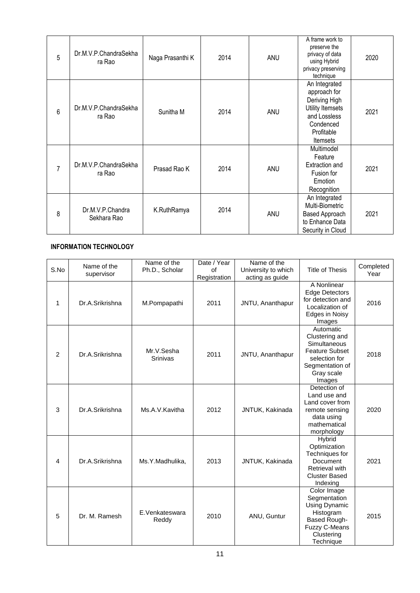| 5              | Dr.M.V.P.ChandraSekha<br>ra Rao | Naga Prasanthi K | 2014 | ANU | A frame work to<br>preserve the<br>privacy of data<br>using Hybrid<br>privacy preserving<br>technique                     | 2020 |
|----------------|---------------------------------|------------------|------|-----|---------------------------------------------------------------------------------------------------------------------------|------|
| 6              | Dr.M.V.P.ChandraSekha<br>ra Rao | Sunitha M        | 2014 | ANU | An Integrated<br>approach for<br>Deriving High<br>Utility Itemsets<br>and Lossless<br>Condenced<br>Profitable<br>Itemsets | 2021 |
| $\overline{7}$ | Dr.M.V.P.ChandraSekha<br>ra Rao | Prasad Rao K     | 2014 | ANU | Multimodel<br>Feature<br><b>Extraction and</b><br>Fusion for<br>Emotion<br>Recognition                                    | 2021 |
| 8              | Dr.M.V.P.Chandra<br>Sekhara Rao | K.RuthRamya      | 2014 | ANU | An Integrated<br>Multi-Biometric<br>Based Approach<br>to Enhance Data<br>Security in Cloud                                | 2021 |

### **INFORMATION TECHNOLOGY**

| S.No | Name of the<br>supervisor | Name of the<br>Ph.D., Scholar | Date / Year<br>of<br>Registration | Name of the<br>University to which<br>acting as guide | <b>Title of Thesis</b>                                                                                                              | Completed<br>Year |
|------|---------------------------|-------------------------------|-----------------------------------|-------------------------------------------------------|-------------------------------------------------------------------------------------------------------------------------------------|-------------------|
| 1    | Dr.A.Srikrishna           | M.Pompapathi                  | 2011                              | JNTU, Ananthapur                                      | A Nonlinear<br><b>Edge Detectors</b><br>for detection and<br>Localization of<br>Edges in Noisy<br>Images                            | 2016              |
| 2    | Dr.A.Srikrishna           | Mr.V.Sesha<br>Srinivas        | 2011                              | JNTU, Ananthapur                                      | Automatic<br>Clustering and<br>Simultaneous<br><b>Feature Subset</b><br>selection for<br>Segmentation of<br>Gray scale<br>Images    | 2018              |
| 3    | Dr.A.Srikrishna           | Ms.A.V.Kavitha                | 2012                              | JNTUK, Kakinada                                       | Detection of<br>Land use and<br>Land cover from<br>remote sensing<br>data using<br>mathematical<br>morphology                       | 2020              |
| 4    | Dr.A.Srikrishna           | Ms.Y.Madhulika,               | 2013                              | JNTUK, Kakinada                                       | <b>Hybrid</b><br>Optimization<br>Techniques for<br>Document<br>Retrieval with<br><b>Cluster Based</b><br>Indexing                   | 2021              |
| 5    | Dr. M. Ramesh             | E.Venkateswara<br>Reddy       | 2010                              | ANU, Guntur                                           | Color Image<br>Segmentation<br>Using Dynamic<br>Histogram<br><b>Based Rough-</b><br><b>Fuzzy C-Means</b><br>Clustering<br>Technique | 2015              |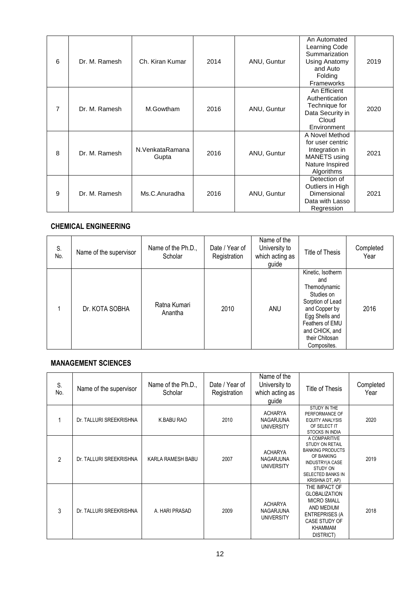| 6 | Dr. M. Ramesh | Ch. Kiran Kumar          | 2014 | ANU, Guntur | An Automated<br>Learning Code<br>Summarization<br>Using Anatomy<br>and Auto<br>Folding<br><b>Frameworks</b> | 2019 |
|---|---------------|--------------------------|------|-------------|-------------------------------------------------------------------------------------------------------------|------|
| 7 | Dr. M. Ramesh | M.Gowtham                | 2016 | ANU, Guntur | An Efficient<br>Authentication<br>Technique for<br>Data Security in<br>Cloud<br>Environment                 | 2020 |
| 8 | Dr. M. Ramesh | N.VenkataRamana<br>Gupta | 2016 | ANU, Guntur | A Novel Method<br>for user centric<br>Integration in<br>MANETS using<br>Nature Inspired<br>Algorithms       | 2021 |
| 9 | Dr. M. Ramesh | Ms.C.Anuradha            | 2016 | ANU, Guntur | Detection of<br>Outliers in High<br>Dimensional<br>Data with Lasso<br>Regression                            | 2021 |

### **CHEMICAL ENGINEERING**

| S.<br>No. | Name of the supervisor | Name of the Ph.D.,<br>Scholar | Date / Year of<br>Registration | Name of the<br>University to<br>which acting as<br>guide | Title of Thesis                                                                                                                                                                     | Completed<br>Year |
|-----------|------------------------|-------------------------------|--------------------------------|----------------------------------------------------------|-------------------------------------------------------------------------------------------------------------------------------------------------------------------------------------|-------------------|
|           | Dr. KOTA SOBHA         | Ratna Kumari<br>Anantha       | 2010                           | ANU                                                      | Kinetic, Isotherm<br>and<br>Themodynamic<br>Studies on<br>Sorption of Lead<br>and Copper by<br>Egg Shells and<br>Feathers of EMU<br>and CHICK, and<br>their Chitosan<br>Composites. | 2016              |

## **MANAGEMENT SCIENCES**

| S.<br>No.      | Name of the supervisor  | Name of the Ph.D.,<br>Scholar | Date / Year of<br>Registration | Name of the<br>University to<br>which acting as<br>guide | Title of Thesis                                                                                                                                         | Completed<br>Year |
|----------------|-------------------------|-------------------------------|--------------------------------|----------------------------------------------------------|---------------------------------------------------------------------------------------------------------------------------------------------------------|-------------------|
|                | Dr. TALLURI SREEKRISHNA | K.BABU RAO                    | 2010                           | <b>ACHARYA</b><br>NAGARJUNA<br><b>UNIVERSITY</b>         | STUDY IN THE<br>PERFORMANCE OF<br><b>EQUITY ANALYSIS</b><br>OF SELECT IT<br><b>STOCKS IN INDIA</b>                                                      | 2020              |
| $\mathfrak{p}$ | Dr. TALLURI SREEKRISHNA | KARLA RAMESH BABU             | 2007                           | <b>ACHARYA</b><br>NAGARJUNA<br><b>UNIVERSITY</b>         | A COMPARITIVE<br><b>STUDY ON RETAIL</b><br><b>BANKING PRODUCTS</b><br>OF BANKING<br>INDUSTRY(A CASE<br>STUDY ON<br>SELECTED BANKS IN<br>KRISHNA DT, AP) | 2019              |
| 3              | Dr. TALLURI SREEKRISHNA | A. HARI PRASAD                | 2009                           | <b>ACHARYA</b><br>NAGARJUNA<br><b>UNIVERSITY</b>         | THE IMPACT OF<br><b>GLOBALIZATION</b><br><b>MICRO SMALL</b><br>AND MEDIUM<br><b>ENTREPRISES (A</b><br>CASE STUDY OF<br><b>KHAMMAM</b><br>DISTRICT)      | 2018              |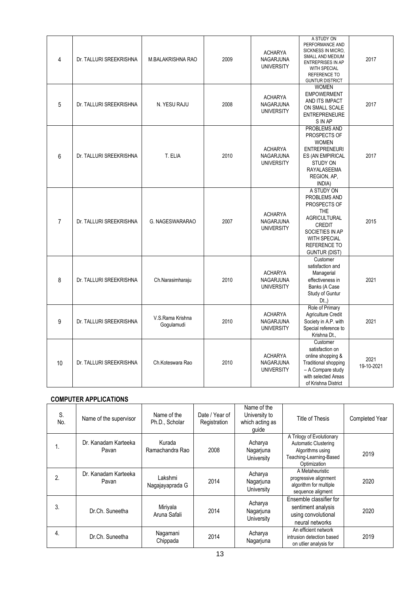| 4              | Dr. TALLURI SREEKRISHNA | M.BALAKRISHNA RAO              | 2009 | <b>ACHARYA</b><br>NAGARJUNA<br><b>UNIVERSITY</b>        | A STUDY ON<br>PERFORMANCE AND<br>SICKNESS IN MICRO,<br>SMALL AND MEDIUM<br>ENTREPRISES IN AP<br>WITH SPECIAL<br>REFERENCE TO<br><b>GUNTUR DISTRICT</b>                             | 2017               |
|----------------|-------------------------|--------------------------------|------|---------------------------------------------------------|------------------------------------------------------------------------------------------------------------------------------------------------------------------------------------|--------------------|
| 5              | Dr. TALLURI SREEKRISHNA | N. YESU RAJU                   | 2008 | <b>ACHARYA</b><br>NAGARJUNA<br><b>UNIVERSITY</b>        | <b>WOMEN</b><br><b>EMPOWERMENT</b><br>AND ITS IMPACT<br>ON SMALL SCALE<br><b>ENTREPRENEURE</b><br>S IN AP                                                                          | 2017               |
| 6              | Dr. TALLURI SREEKRISHNA | T. ELIA                        | 2010 | <b>ACHARYA</b><br><b>NAGARJUNA</b><br><b>UNIVERSITY</b> | <b>PROBLEMS AND</b><br>PROSPECTS OF<br><b>WOMEN</b><br><b>ENTREPRENEURI</b><br>ES (AN EMPIRICAL<br><b>STUDY ON</b><br><b>RAYALASEEMA</b><br>REGION, AP,<br>INDIA)                  | 2017               |
| $\overline{7}$ | Dr. TALLURI SREEKRISHNA | G. NAGESWARARAO                | 2007 | <b>ACHARYA</b><br>NAGARJUNA<br><b>UNIVERSITY</b>        | A STUDY ON<br>PROBLEMS AND<br>PROSPECTS OF<br><b>THE</b><br><b>AGRICULTURAL</b><br><b>CREDIT</b><br>SOCIETIES IN AP<br>WITH SPECIAL<br><b>REFERENCE TO</b><br><b>GUNTUR (DIST)</b> | 2015               |
| 8              | Dr. TALLURI SREEKRISHNA | Ch.Narasimharaju               | 2010 | <b>ACHARYA</b><br>NAGARJUNA<br><b>UNIVERSITY</b>        | Customer<br>satisfaction and<br>Managerial<br>effectiveness in<br>Banks (A Case<br>Study of Guntur<br>$Dt.$ )                                                                      | 2021               |
| 9              | Dr. TALLURI SREEKRISHNA | V.S.Rama Krishna<br>Gogulamudi | 2010 | <b>ACHARYA</b><br>NAGARJUNA<br><b>UNIVERSITY</b>        | Role of Primary<br>Agriculture Credit<br>Society in A.P. with<br>Special reference to<br>Krishna Dt.,                                                                              | 2021               |
| 10             | Dr. TALLURI SREEKRISHNA | Ch.Koteswara Rao               | 2010 | <b>ACHARYA</b><br><b>NAGARJUNA</b><br><b>UNIVERSITY</b> | Customer<br>satisfaction on<br>online shopping &<br><b>Traditional shopping</b><br>- A Compare study<br>with selected Areas<br>of Krishna District                                 | 2021<br>19-10-2021 |

# **COMPUTER APPLICATIONS**

| S.<br>No. | Name of the supervisor        | Name of the<br>Ph.D., Scholar | Date / Year of<br>Registration | Name of the<br>University to<br>which acting as<br>guide | Title of Thesis                                                                                                  | <b>Completed Year</b> |
|-----------|-------------------------------|-------------------------------|--------------------------------|----------------------------------------------------------|------------------------------------------------------------------------------------------------------------------|-----------------------|
| 1.        | Dr. Kanadam Karteeka<br>Pavan | Kurada<br>Ramachandra Rao     | 2008                           | Acharya<br>Nagarjuna<br>University                       | A Trilogy of Evolutionary<br>Automatic Clustering<br>Algorithms using<br>Teaching-Learning-Based<br>Optimization | 2019                  |
| 2.        | Dr. Kanadam Karteeka<br>Pavan | Lakshmi<br>Nagajayaprada G    | 2014                           | Acharya<br>Nagarjuna<br>University                       | A Metaheuristic<br>progressive alignment<br>algorithm for multiple<br>sequence aligment                          | 2020                  |
| 3.        | Dr.Ch. Suneetha               | Miriyala<br>Aruna Safali      | 2014                           | Acharya<br>Nagarjuna<br>University                       | Ensemble classifier for<br>sentiment analysis<br>using convolutional<br>neural networks                          | 2020                  |
| 4.        | Dr.Ch. Suneetha               | Nagamani<br>Chippada          | 2014                           | Acharya<br>Nagarjuna                                     | An efficient network<br>intrusion detection based<br>on utlier analysis for                                      | 2019                  |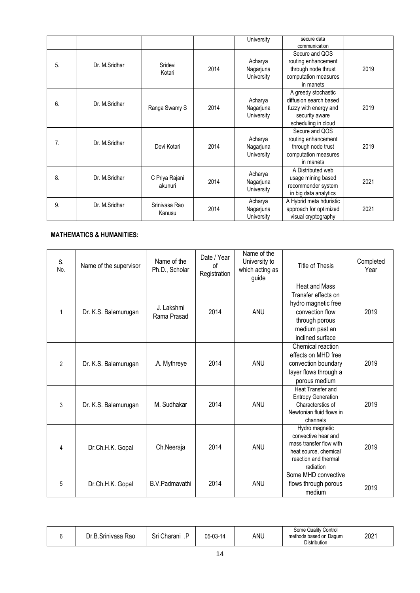|    |               |                           |      | University                         | secure data<br>communication                                                                                    |      |
|----|---------------|---------------------------|------|------------------------------------|-----------------------------------------------------------------------------------------------------------------|------|
| 5. | Dr. M.Sridhar | Sridevi<br>Kotari         | 2014 | Acharya<br>Nagarjuna<br>University | Secure and QOS<br>routing enhancement<br>through node thrust<br>computation measures<br>in manets               | 2019 |
| 6. | Dr. M.Sridhar | Ranga Swamy S             | 2014 | Acharya<br>Nagarjuna<br>University | A greedy stochastic<br>diffusion search based<br>fuzzy with energy and<br>security aware<br>scheduling in cloud | 2019 |
| 7. | Dr. M.Sridhar | Devi Kotari               | 2014 | Acharya<br>Nagarjuna<br>University | Secure and QOS<br>routing enhancement<br>through node trust<br>computation measures<br>in manets                | 2019 |
| 8. | Dr. M.Sridhar | C Priya Rajani<br>akunuri | 2014 | Acharya<br>Nagarjuna<br>University | A Distributed web<br>usage mining based<br>recommender system<br>in big data analytics                          | 2021 |
| 9. | Dr. M.Sridhar | Srinivasa Rao<br>Kanusu   | 2014 | Acharya<br>Nagarjuna<br>University | A Hybrid meta hduristic<br>approach for optimized<br>visual cryptography                                        | 2021 |

### **MATHEMATICS & HUMANITIES:**

| <b>Heat and Mass</b><br>Transfer effects on<br>hydro magnetic free<br>J. Lakshmi<br>2014<br>2019<br>Dr. K.S. Balamurugan<br>ANU<br>convection flow<br>1<br>Rama Prasad |  |
|------------------------------------------------------------------------------------------------------------------------------------------------------------------------|--|
|                                                                                                                                                                        |  |
|                                                                                                                                                                        |  |
|                                                                                                                                                                        |  |
| through porous                                                                                                                                                         |  |
| medium past an                                                                                                                                                         |  |
| inclined surface                                                                                                                                                       |  |
| Chemical reaction                                                                                                                                                      |  |
| effects on MHD free                                                                                                                                                    |  |
| 2019<br>$\overline{2}$<br>2014<br>ANU<br>.A. Mythreye<br>convection boundary<br>Dr. K.S. Balamurugan                                                                   |  |
| layer flows through a                                                                                                                                                  |  |
| porous medium                                                                                                                                                          |  |
| Heat Transfer and                                                                                                                                                      |  |
| <b>Entropy Generation</b><br>2014<br>2019<br>M. Sudhakar<br>ANU<br>3<br>Characterstics of                                                                              |  |
| Dr. K.S. Balamurugan<br>Newtonian fluid flows in                                                                                                                       |  |
| channels                                                                                                                                                               |  |
| Hydro magnetic                                                                                                                                                         |  |
| convective hear and                                                                                                                                                    |  |
| mass transfer flow with<br>2014<br>2019<br>Ch.Neeraja<br>ANU<br>Dr.Ch.H.K. Gopal<br>4                                                                                  |  |
| heat source, chemical<br>reaction and thermal                                                                                                                          |  |
| radiation                                                                                                                                                              |  |
| Some MHD convective                                                                                                                                                    |  |
| 2014<br>B.V.Padmavathi<br>ANU<br>Dr.Ch.H.K. Gopal<br>flows through porous<br>5                                                                                         |  |
| 2019<br>medium                                                                                                                                                         |  |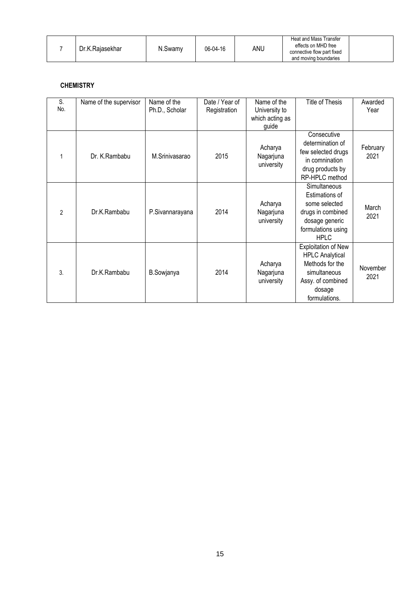|  | Dr.K.Rajasekhar | N.Swamv | 06-04-16 | anu | Heat and Mass Transfer<br>effects on MHD free<br>connective flow part fixed<br>and moving boundaries |  |
|--|-----------------|---------|----------|-----|------------------------------------------------------------------------------------------------------|--|
|--|-----------------|---------|----------|-----|------------------------------------------------------------------------------------------------------|--|

### **CHEMISTRY**

| S.<br>No.      | Name of the supervisor | Name of the<br>Ph.D., Scholar | Date / Year of<br>Registration | Name of the<br>University to<br>which acting as<br>guide | <b>Title of Thesis</b>                                                                                                                  | Awarded<br>Year  |
|----------------|------------------------|-------------------------------|--------------------------------|----------------------------------------------------------|-----------------------------------------------------------------------------------------------------------------------------------------|------------------|
|                | Dr. K.Rambabu          | M.Srinivasarao                | 2015                           | Acharya<br>Nagarjuna<br>university                       | Consecutive<br>determination of<br>few selected drugs<br>in comnination<br>drug products by<br>RP-HPLC method                           | February<br>2021 |
| $\overline{2}$ | Dr.K.Rambabu           | P.Sivannarayana               | 2014                           | Acharya<br>Nagarjuna<br>university                       | Simultaneous<br>Estimations of<br>some selected<br>drugs in combined<br>dosage generic<br>formulations using<br><b>HPLC</b>             | March<br>2021    |
| 3.             | Dr.K.Rambabu           | B.Sowjanya                    | 2014                           | Acharya<br>Nagarjuna<br>university                       | <b>Exploitation of New</b><br><b>HPLC Analytical</b><br>Methods for the<br>simultaneous<br>Assy. of combined<br>dosage<br>formulations. | November<br>2021 |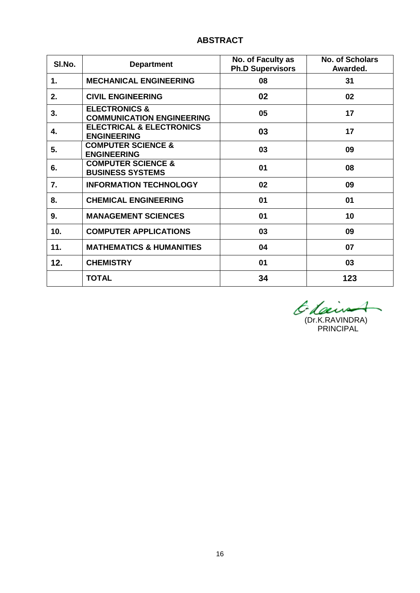## **ABSTRACT**

| SI.No. | <b>Department</b>                                            | No. of Faculty as<br><b>Ph.D Supervisors</b> | <b>No. of Scholars</b><br>Awarded. |
|--------|--------------------------------------------------------------|----------------------------------------------|------------------------------------|
| 1.     | <b>MECHANICAL ENGINEERING</b>                                | 08                                           | 31                                 |
| 2.     | <b>CIVIL ENGINEERING</b>                                     | 02                                           | 02                                 |
| 3.     | <b>ELECTRONICS &amp;</b><br><b>COMMUNICATION ENGINEERING</b> | 05                                           | 17                                 |
| 4.     | <b>ELECTRICAL &amp; ELECTRONICS</b><br><b>ENGINEERING</b>    | 03                                           | 17                                 |
| 5.     | <b>COMPUTER SCIENCE &amp;</b><br><b>ENGINEERING</b>          | 03                                           | 09                                 |
| 6.     | <b>COMPUTER SCIENCE &amp;</b><br><b>BUSINESS SYSTEMS</b>     | 01                                           | 08                                 |
| 7.     | <b>INFORMATION TECHNOLOGY</b>                                | 02                                           | 09                                 |
| 8.     | <b>CHEMICAL ENGINEERING</b>                                  | 01                                           | 01                                 |
| 9.     | <b>MANAGEMENT SCIENCES</b>                                   | 01                                           | 10                                 |
| 10.    | <b>COMPUTER APPLICATIONS</b>                                 | 03                                           | 09                                 |
| 11.    | <b>MATHEMATICS &amp; HUMANITIES</b>                          | 04                                           | 07                                 |
| 12.    | <b>CHEMISTRY</b>                                             | 01                                           | 03                                 |
|        | <b>TOTAL</b>                                                 | 34                                           | 123                                |

 $\overline{\phantom{0}}$ (Dr.K.RAVINDRA) PRINCIPAL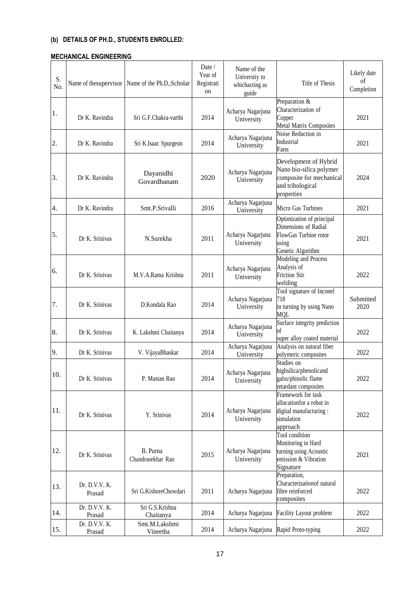## **(b) DETAILS OF PH.D., STUDENTS ENROLLED:**

#### **MECHANICAL ENGINEERING**

| S.<br>No. |                         | Name of the supervisor Name of the Ph.D., Scholar | Date $/$<br>Year of<br>Registrati<br>on | Name of the<br>University to<br>whichacting as<br>guide | Title of Thesis                                                                                                | Likely date<br>of<br>Completion |
|-----------|-------------------------|---------------------------------------------------|-----------------------------------------|---------------------------------------------------------|----------------------------------------------------------------------------------------------------------------|---------------------------------|
| 1.        | Dr K. Ravindra          | Sri G.F.Chakra-varthi                             | 2014                                    | Acharya Nagarjuna<br>University                         | Preparation $\&$<br>Characterization of<br>Copper<br>Metal Matrix Composites                                   | 2021                            |
| 2.        | Dr K. Ravindra          | Sri K.Isaac Spurgeon                              | 2014                                    | Acharya Nagarjuna<br>University                         | Noise Reduction in<br>Industrial<br>Fans                                                                       | 2021                            |
| 3.        | Dr K. Ravindra          | Dayanidhi<br>Govardhanam                          | 2020                                    | Acharya Nagarjuna<br>University                         | Development of Hybrid<br>Nano bio-silica polymer<br>composite for mechanical<br>and tribological<br>properties | 2024                            |
| 4.        | Dr K. Ravindra          | Smt.P.Srivalli                                    | 2016                                    | Acharya Nagarjuna<br>University                         | Micro Gas Turbines                                                                                             | 2021                            |
| 5.        | Dr K. Srinivas          | N.Surekha                                         | 2011                                    | Acharya Nagarjuna<br>University                         | Optimization of principal<br>Dimensions of Radial<br>FlowGas Turbine rotor<br>using<br>Genetic Algorithm       | 2021                            |
| 6.        | Dr K. Srinivas          | M.V.A.Rama Krishna                                | 2011                                    | Acharya Nagarjuna<br>University                         | Modeling and Process<br>Analysis of<br><b>Friction Stir</b><br>welding                                         | 2022                            |
| 7.        | Dr K. Srinivas          | D.Kondala Rao                                     | 2014                                    | Acharya Nagarjuna<br>University                         | Tool signature of Inconel<br>718<br>in turning by using Nano<br><b>MQL</b>                                     | Submitted<br>2020               |
| 8.        | Dr K. Srinivas          | K. Lakshmi Chaitanya                              | 2014                                    | Acharya Nagarjuna<br>University                         | Surface integrity prediction<br>of<br>super alloy coated material                                              | 2022                            |
| 9.        | Dr K. Srinivas          | V. VijayaBhaskar                                  | 2014                                    | Acharya Nagarjuna<br>University                         | Analysis on natural fiber<br>polymeric composites                                                              | 2022                            |
| 10.       | Dr K. Srinivas          | P. Mastan Rao                                     | 2014                                    | Acharya Nagarjuna<br>University                         | Studies on<br>highsilica/phenolicand<br>galss/phinolic flame<br>retardant composites                           | 2022                            |
| 11.       | Dr K. Srinivas          | Y. Srinivas                                       | 2014                                    | Acharya Nagarjuna<br>University                         | Framework for task<br>allocationfor a robot in<br>digital manufacturing:<br>simulation<br>approach             | 2022                            |
| 12.       | Dr K. Srinivas          | B. Purna<br>Chandrasekhar Rao                     | 2015                                    | Acharya Nagarjuna<br>University                         | Tool condition<br>Monitoring in Hard<br>turning using Acoustic<br>emission & Vibration<br>Signature            | 2021                            |
| 13.       | Dr. D.V.V. K.<br>Prasad | Sri G.KishoreChowdari                             | 2011                                    | Acharya Nagarjuna                                       | Preparation,<br>Characterizationof natural<br>fibre reinforced<br>composites                                   | 2022                            |
| 14.       | Dr. D.V.V. K.<br>Prasad | Sri G.S.Krishna<br>Chaitanya                      | 2014                                    | Acharya Nagarjuna                                       | Facility Layout problem                                                                                        | 2022                            |
| 15.       | Dr. D.V.V. K.<br>Prasad | Smt.M.Lakshmi<br>Vineetha                         | 2014                                    | Acharya Nagarjuna                                       | Rapid Proto-typing                                                                                             | 2022                            |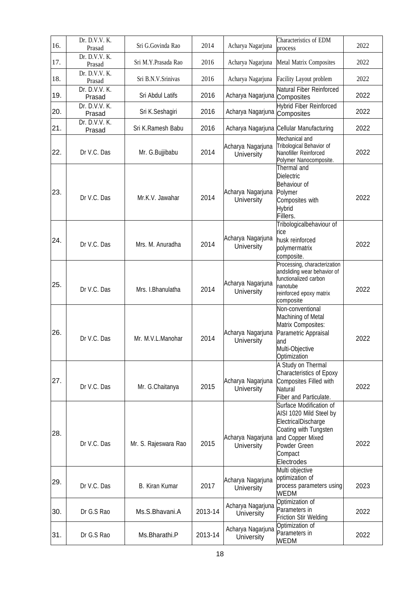| 16. | Dr. D.V.V. K.<br>Prasad | Sri G.Govinda Rao    | 2014    | Acharya Nagarjuna                      | Characteristics of EDM<br>process                                                                                                                               | 2022 |
|-----|-------------------------|----------------------|---------|----------------------------------------|-----------------------------------------------------------------------------------------------------------------------------------------------------------------|------|
| 17. | Dr. D.V.V. K.<br>Prasad | Sri M.Y.Prasada Rao  | 2016    | Acharya Nagarjuna                      | Metal Matrix Composites                                                                                                                                         | 2022 |
| 18. | Dr. D.V.V. K.<br>Prasad | Sri B.N.V.Srinivas   | 2016    | Acharya Nagarjuna                      | Facility Layout problem                                                                                                                                         | 2022 |
| 19. | Dr. D.V.V. K.<br>Prasad | Sri Abdul Latifs     | 2016    | Acharya Nagarjuna Composites           | Natural Fiber Reinforced                                                                                                                                        | 2022 |
| 20. | Dr. D.V.V. K.<br>Prasad | Sri K.Seshagiri      | 2016    | Acharya Nagarjuna Composites           | <b>Hybrid Fiber Reinforced</b>                                                                                                                                  | 2022 |
| 21. | Dr. D.V.V. K.<br>Prasad | Sri K.Ramesh Babu    | 2016    |                                        | Acharya Nagarjuna Cellular Manufacturing                                                                                                                        | 2022 |
| 22. | Dr V.C. Das             | Mr. G.Bujjibabu      | 2014    | Acharya Nagarjuna<br><b>University</b> | Mechanical and<br>Tribological Behavior of<br>Nanofiller Reinforced<br>Polymer Nanocomposite.                                                                   | 2022 |
| 23. | Dr V.C. Das             | Mr.K.V. Jawahar      | 2014    | Acharya Nagarjuna<br>University        | Thermal and<br><b>Dielectric</b><br>Behaviour of<br>Polymer<br>Composites with<br><b>Hybrid</b><br>Fillers.                                                     | 2022 |
| 24. | Dr V.C. Das             | Mrs. M. Anuradha     | 2014    | Acharya Nagarjuna<br><b>University</b> | Tribologicalbehaviour of<br>rice<br>husk reinforced<br>polymermatrix<br>composite.                                                                              | 2022 |
| 25. | Dr V.C. Das             | Mrs. I.Bhanulatha    | 2014    | Acharya Nagarjuna<br>University        | Processing, characterization<br>andsliding wear behavior of<br>functionalized carbon<br>nanotube<br>reinforced epoxy matrix<br>composite                        | 2022 |
| 26. | Dr V.C. Das             | Mr. M.V.L.Manohar    | 2014    | Acharya Nagarjuna<br>University        | Non-conventional<br>Machining of Metal<br>Matrix Composites:<br>Parametric Appraisal<br>and<br>Multi-Obiective<br>Optimization                                  | 2022 |
| 27. | Dr V.C. Das             | Mr. G.Chaitanya      | 2015    | Acharya Nagarjuna<br><b>University</b> | A Study on Thermal<br>Characteristics of Epoxy<br>Composites Filled with<br><b>Natural</b><br>Fiber and Particulate.                                            | 2022 |
| 28. | Dr V.C. Das             | Mr. S. Rajeswara Rao | 2015    | Acharya Nagarjuna<br>University        | Surface Modification of<br>AISI 1020 Mild Steel by<br>ElectricalDischarge<br>Coating with Tungsten<br>and Copper Mixed<br>Powder Green<br>Compact<br>Electrodes | 2022 |
| 29. | Dr V.C. Das             | B. Kiran Kumar       | 2017    | Acharya Nagarjuna<br><b>University</b> | Multi objective<br>optimization of<br>process parameters using<br>WEDM                                                                                          | 2023 |
| 30. | Dr G.S Rao              | Ms.S.Bhavani.A       | 2013-14 | Acharya Nagarjuna<br><b>University</b> | Optimization of<br>Parameters in<br><b>Friction Stir Welding</b>                                                                                                | 2022 |
| 31. | Dr G.S Rao              | Ms.Bharathi.P        | 2013-14 | Acharya Nagarjuna<br>University        | Optimization of<br>Parameters in<br>WEDM                                                                                                                        | 2022 |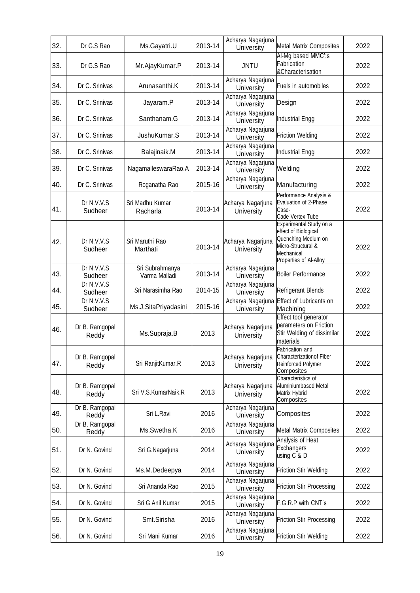| 32. | Dr G.S Rao              | Ms.Gayatri.U                     | 2013-14 | Acharya Nagarjuna<br>University | <b>Metal Matrix Composites</b>                                                                                                       | 2022 |
|-----|-------------------------|----------------------------------|---------|---------------------------------|--------------------------------------------------------------------------------------------------------------------------------------|------|
| 33. | Dr G.S Rao              | Mr.AjayKumar.P                   | 2013-14 | <b>JNTU</b>                     | Al-Mg based MMC';s<br>Fabrication<br>& Characterisation                                                                              | 2022 |
| 34. | Dr C. Srinivas          | Arunasanthi.K                    | 2013-14 | Acharya Nagarjuna<br>University | Fuels in automobiles                                                                                                                 | 2022 |
| 35. | Dr C. Srinivas          | Jayaram.P                        | 2013-14 | Acharya Nagarjuna<br>University | Design                                                                                                                               | 2022 |
| 36. | Dr C. Srinivas          | Santhanam.G                      | 2013-14 | Acharya Nagarjuna<br>University | <b>Industrial Engg</b>                                                                                                               | 2022 |
| 37. | Dr C. Srinivas          | JushuKumar.S                     | 2013-14 | Acharya Nagarjuna<br>University | <b>Friction Welding</b>                                                                                                              | 2022 |
| 38. | Dr C. Srinivas          | Balajinaik.M                     | 2013-14 | Acharya Nagarjuna<br>University | <b>Industrial Engg</b>                                                                                                               | 2022 |
| 39. | Dr C. Srinivas          | NagamalleswaraRao.A              | 2013-14 | Acharya Nagarjuna<br>University | Welding                                                                                                                              | 2022 |
| 40. | Dr C. Srinivas          | Roganatha Rao                    | 2015-16 | Acharya Nagarjuna<br>University | Manufacturing                                                                                                                        | 2022 |
| 41. | Dr N.V.V.S<br>Sudheer   | Sri Madhu Kumar<br>Racharla      | 2013-14 | Acharya Nagarjuna<br>University | Performance Analysis &<br>Evaluation of 2-Phase<br>Case-<br>Cade Vertex Tube                                                         | 2022 |
| 42. | Dr N.V.V.S<br>Sudheer   | Sri Maruthi Rao<br>Marthati      | 2013-14 | Acharya Nagarjuna<br>University | Experimental Study on a<br>effect of Biological<br>Quenching Medium on<br>Micro-Structural &<br>Mechanical<br>Properties of Al-Alloy | 2022 |
| 43. | Dr N.V.V.S<br>Sudheer   | Sri Subrahmanya<br>Varma Malladi | 2013-14 | Acharya Nagarjuna<br>University | <b>Boiler Performance</b>                                                                                                            | 2022 |
| 44. | Dr N.V.V.S<br>Sudheer   | Sri Narasimha Rao                | 2014-15 | Acharya Nagarjuna<br>University | Refrigerant Blends                                                                                                                   | 2022 |
| 45. | Dr N.V.V.S<br>Sudheer   | Ms.J.SitaPriyadasini             | 2015-16 | Acharya Nagarjuna<br>University | Effect of Lubricants on<br>Machining                                                                                                 | 2022 |
| 46. | Dr B. Ramgopal<br>Reddy | Ms.Supraja.B                     | 2013    | Acharya Nagarjuna<br>University | Effect tool generator<br>parameters on Friction<br>Stir Welding of dissimilar<br>materials                                           | 2022 |
| 47. | Dr B. Ramgopal<br>Reddy | Sri RanjitKumar.R                | 2013    | Acharya Nagarjuna<br>University | Fabrication and<br>Characterizationof Fiber<br><b>Reinforced Polymer</b><br>Composites                                               | 2022 |
| 48. | Dr B. Ramgopal<br>Reddy | Sri V.S.KumarNaik.R              | 2013    | Acharya Nagarjuna<br>University | Characteristics of<br>Aluminiumbased Metal<br>Matrix Hybrid<br>Composites                                                            | 2022 |
| 49. | Dr B. Ramgopal<br>Reddy | Sri L.Ravi                       | 2016    | Acharya Nagarjuna<br>University | Composites                                                                                                                           | 2022 |
| 50. | Dr B. Ramgopal<br>Reddy | Ms.Swetha.K                      | 2016    | Acharya Nagarjuna<br>University | <b>Metal Matrix Composites</b>                                                                                                       | 2022 |
| 51. | Dr N. Govind            | Sri G.Nagarjuna                  | 2014    | Acharya Nagarjuna<br>University | Analysis of Heat<br>Exchangers<br>using C & D                                                                                        | 2022 |
| 52. | Dr N. Govind            | Ms.M.Dedeepya                    | 2014    | Acharya Nagarjuna<br>University | <b>Friction Stir Welding</b>                                                                                                         | 2022 |
| 53. | Dr N. Govind            | Sri Ananda Rao                   | 2015    | Acharya Nagarjuna<br>University | <b>Friction Stir Processing</b>                                                                                                      | 2022 |
| 54. | Dr N. Govind            | Sri G.Anil Kumar                 | 2015    | Acharya Nagarjuna<br>University | F.G.R.P with CNT's                                                                                                                   | 2022 |
| 55. | Dr N. Govind            | Smt.Sirisha                      | 2016    | Acharya Nagarjuna<br>University | <b>Friction Stir Processing</b>                                                                                                      | 2022 |
| 56. | Dr N. Govind            | Sri Mani Kumar                   | 2016    | Acharya Nagarjuna<br>University | <b>Friction Stir Welding</b>                                                                                                         | 2022 |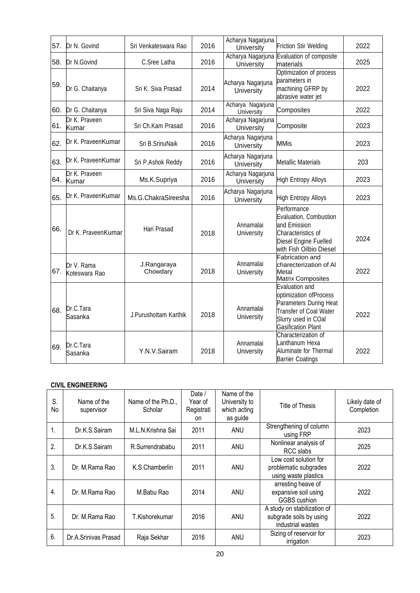| 57. | Dr N. Govind                | Sri Venkateswara Rao    | 2016 | Acharya Nagarjuna<br>University | <b>Friction Stir Welding</b>                                                                                                                     | 2022 |
|-----|-----------------------------|-------------------------|------|---------------------------------|--------------------------------------------------------------------------------------------------------------------------------------------------|------|
| 58. | Dr N.Govind                 | C.Sree Latha            | 2016 | Acharya Nagarjuna<br>University | Evaluation of composite<br>materials                                                                                                             | 2025 |
| 59. | Dr G. Chaitanya             | Sri K. Siva Prasad      | 2014 | Acharya Nagarjuna<br>University | Optimization of process<br>parameters in<br>machining GFRP by<br>abrasive water jet                                                              | 2022 |
|     | 60. Dr G. Chaitanya         | Sri Siva Naga Raju      | 2014 | Acharya Nagarjuna<br>University | Composites                                                                                                                                       | 2022 |
| 61. | Dr K. Praveen<br>Kumar      | Sri Ch.Kam Prasad       | 2016 | Acharya Nagarjuna<br>University | Composite                                                                                                                                        | 2023 |
| 62. | Dr K. PraveenKumar          | Sri B.SrinuNaik         | 2016 | Acharya Nagarjuna<br>University | <b>MMis</b>                                                                                                                                      | 2023 |
| 63. | Dr K. PraveenKumar          | Sri P.Ashok Reddy       | 2016 | Acharya Nagarjuna<br>University | <b>Metallic Materials</b>                                                                                                                        | 203  |
| 64. | Dr K. Praveen<br>Kumar      | Ms.K.Supriya            | 2016 | Acharya Nagarjuna<br>University | <b>High Entropy Alloys</b>                                                                                                                       | 2023 |
| 65. | Dr K. PraveenKumar          | Ms.G.ChakraSireesha     | 2016 | Acharya Nagarjuna<br>University | <b>High Entropy Alloys</b>                                                                                                                       | 2023 |
| 66. | Dr K. PraveenKumar          | Hari Prasad             | 2018 | Annamalai<br>University         | Performance<br>Evaluation, Combustion<br>and Emission<br>Characteristics of<br>Diesel Engine Fuelled<br>with Fish Oilbio Diesel                  | 2024 |
| 67. | Dr V. Rama<br>Koteswara Rao | J.Rangaraya<br>Chowdary | 2018 | Annamalai<br>University         | <b>Fabrication and</b><br>charecterization of Al<br>Metal<br>Matrix Composites                                                                   | 2022 |
| 68. | Dr.C.Tara<br>Sasanka        | J.Purushottam Karthik   | 2018 | Annamalai<br>University         | Evaluation and<br>optimization ofProcess<br>Parameters During Heat<br>Transfer of Coal Water<br>Slurry used in COal<br><b>Gasification Plant</b> | 2022 |
| 69. | Dr.C.Tara<br>Sasanka        | Y.N.V.Sairam            | 2018 | Annamalai<br>University         | Characterization of<br>Lanthanum Hexa<br>Aluminate for Thermal<br><b>Barrier Coatings</b>                                                        | 2022 |

## **CIVIL ENGINEERING**

| S.<br>No | Name of the<br>supervisor | Name of the Ph.D.,<br>Scholar | Date /<br>Year of<br>Registrati<br>on | Name of the<br>University to<br>which acting<br>as guide | Title of Thesis                                                             | Likely date of<br>Completion |
|----------|---------------------------|-------------------------------|---------------------------------------|----------------------------------------------------------|-----------------------------------------------------------------------------|------------------------------|
| 1.       | Dr.K.S.Sairam             | M.L.N.Krishna Sai             | 2011                                  | ANU                                                      | Strengthening of column<br>using FRP                                        | 2023                         |
| 2.       | Dr.K.S.Sairam             | R.Surrendrababu               | 2011                                  | ANU                                                      | Nonlinear analysis of<br>RCC slabs                                          | 2025                         |
| 3.       | Dr. M.Rama Rao            | K.S.Chamberlin                | 2011                                  | ANU                                                      | Low cost solution for<br>problematic subgrades<br>using waste plastics      | 2022                         |
| 4.       | Dr. M.Rama Rao            | M.Babu Rao                    | 2014                                  | ANU                                                      | arresting heave of<br>expansive soil using<br>GGBS cushion                  | 2022                         |
| 5.       | Dr. M.Rama Rao            | T.Kishorekumar                | 2016                                  | ANU                                                      | A study on stabilization of<br>subgrade soils by using<br>industrial wastes | 2022                         |
| 6.       | Dr.A.Srinivas Prasad      | Raja Sekhar                   | 2016                                  | ANU                                                      | Sizing of reservoir for<br>irrigation                                       | 2023                         |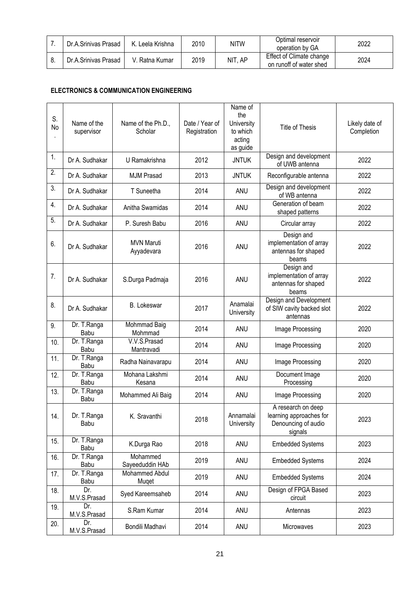| Dr.A.Srinivas Prasad | Leela Krishna  | 2010 | <b>NITW</b> | Optimal reservoir<br>operation by GA                | 2022 |
|----------------------|----------------|------|-------------|-----------------------------------------------------|------|
| Dr.A.Srinivas Prasad | V. Ratna Kumar | 2019 | NIT, AP     | Effect of Climate change<br>on runoff of water shed | 2024 |

## **ELECTRONICS & COMMUNICATION ENGINEERING**

| S.<br>No | Name of the<br>supervisor | Name of the Ph.D.,<br>Scholar   | Date / Year of<br>Registration | Name of<br>the<br>University<br>to which<br>acting<br>as guide | <b>Title of Thesis</b>                                                          | Likely date of<br>Completion |
|----------|---------------------------|---------------------------------|--------------------------------|----------------------------------------------------------------|---------------------------------------------------------------------------------|------------------------------|
| 1.       | Dr A. Sudhakar            | U Ramakrishna                   | 2012                           | <b>JNTUK</b>                                                   | Design and development<br>of UWB antenna                                        | 2022                         |
| 2.       | Dr A. Sudhakar            | <b>MJM Prasad</b>               | 2013                           | <b>JNTUK</b>                                                   | Reconfigurable antenna                                                          | 2022                         |
| 3.       | Dr A. Sudhakar            | T Suneetha                      | 2014                           | ANU                                                            | Design and development<br>of WB antenna                                         | 2022                         |
| 4.       | Dr A. Sudhakar            | Anitha Swamidas                 | 2014                           | ANU                                                            | Generation of beam<br>shaped patterns                                           | 2022                         |
| 5.       | Dr A. Sudhakar            | P. Suresh Babu                  | 2016                           | ANU                                                            | Circular array                                                                  | 2022                         |
| 6.       | Dr A. Sudhakar            | <b>MVN Maruti</b><br>Ayyadevara | 2016                           | ANU                                                            | Design and<br>implementation of array<br>antennas for shaped<br>beams           | 2022                         |
| 7.       | Dr A. Sudhakar            | S.Durga Padmaja                 | 2016                           | ANU                                                            | Design and<br>implementation of array<br>antennas for shaped<br>beams           | 2022                         |
| 8.       | Dr A. Sudhakar            | <b>B.</b> Lokeswar              | 2017                           | Anamalai<br>University                                         | Design and Development<br>of SIW cavity backed slot<br>antennas                 | 2022                         |
| 9.       | Dr. T.Ranga<br>Babu       | Mohmmad Baig<br>Mohmmad         | 2014                           | ANU                                                            | Image Processing                                                                | 2020                         |
| 10.      | Dr. T.Ranga<br>Babu       | V.V.S.Prasad<br>Mantravadi      | 2014                           | ANU                                                            | Image Processing                                                                | 2020                         |
| 11.      | Dr. T.Ranga<br>Babu       | Radha Nainavarapu               | 2014                           | ANU                                                            | Image Processing                                                                | 2020                         |
| 12.      | Dr. T.Ranga<br>Babu       | Mohana Lakshmi<br>Kesana        | 2014                           | ANU                                                            | Document Image<br>Processing                                                    | 2020                         |
| 13.      | Dr. T.Ranga<br>Babu       | Mohammed Ali Baig               | 2014                           | ANU                                                            | Image Processing                                                                | 2020                         |
| 14.      | Dr. T.Ranga<br>Babu       | K. Sravanthi                    | 2018                           | Annamalai<br>University                                        | A research on deep<br>learning approaches for<br>Denouncing of audio<br>signals | 2023                         |
| 15.      | Dr. T.Ranga<br>Babu       | K.Durga Rao                     | 2018                           | ANU                                                            | <b>Embedded Systems</b>                                                         | 2023                         |
| 16.      | Dr. T.Ranga<br>Babu       | Mohammed<br>Sayeeduddin HAb     | 2019                           | ANU                                                            | <b>Embedded Systems</b>                                                         | 2024                         |
| 17.      | Dr. T.Ranga<br>Babu       | Mohammed Abdul<br>Muget         | 2019                           | ANU                                                            | <b>Embedded Systems</b>                                                         | 2024                         |
| 18.      | Dr.<br>M.V.S.Prasad       | Syed Kareemsaheb                | 2014                           | ANU                                                            | Design of FPGA Based<br>circuit                                                 | 2023                         |
| 19.      | Dr.<br>M.V.S.Prasad       | S.Ram Kumar                     | 2014                           | ANU                                                            | Antennas                                                                        | 2023                         |
| 20.      | Dr.<br>M.V.S.Prasad       | Bondili Madhavi                 | 2014                           | ANU                                                            | Microwaves                                                                      | 2023                         |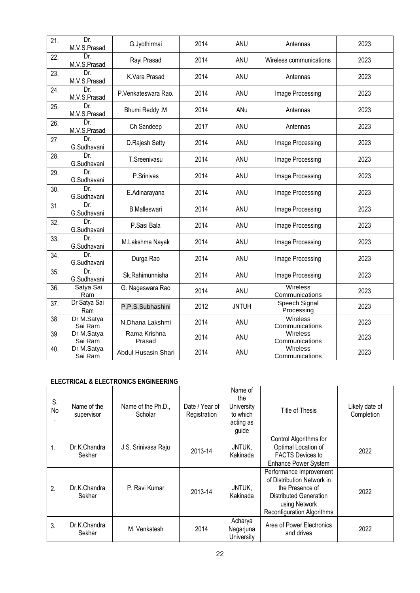| 21. | Dr.<br>M.V.S.Prasad               | G.Jyothirmai           | 2014 | ANU          | Antennas                          | 2023 |
|-----|-----------------------------------|------------------------|------|--------------|-----------------------------------|------|
| 22. | Dr.<br>M.V.S.Prasad               | Rayi Prasad            | 2014 | ANU          | Wireless communications           | 2023 |
| 23. | $\overline{Dr}$ .<br>M.V.S.Prasad | K.Vara Prasad          | 2014 | ANU          | Antennas                          | 2023 |
| 24. | Dr.<br>M.V.S.Prasad               | P.Venkateswara Rao.    | 2014 | <b>ANU</b>   | Image Processing                  | 2023 |
| 25. | Dr.<br>M.V.S.Prasad               | Bhumi Reddy .M         | 2014 | ANu          | Antennas                          | 2023 |
| 26. | Dr.<br>M.V.S.Prasad               | Ch Sandeep             | 2017 | ANU          | Antennas                          | 2023 |
| 27. | Dr.<br>G.Sudhavani                | D.Rajesh Setty         | 2014 | ANU          | Image Processing                  | 2023 |
| 28. | Dr.<br>G.Sudhavani                | T.Sreenivasu           | 2014 | ANU          | Image Processing                  | 2023 |
| 29. | Dr.<br>G.Sudhavani                | P.Srinivas             | 2014 | <b>ANU</b>   | Image Processing                  | 2023 |
| 30. | Dr.<br>G.Sudhavani                | E.Adinarayana          | 2014 | ANU          | Image Processing                  | 2023 |
| 31. | Dr.<br>G.Sudhavani                | <b>B.Malleswari</b>    | 2014 | <b>ANU</b>   | Image Processing                  | 2023 |
| 32. | Dr.<br>G.Sudhavani                | P.Sasi Bala            | 2014 | <b>ANU</b>   | Image Processing                  | 2023 |
| 33. | Dr.<br>G.Sudhavani                | M.Lakshma Nayak        | 2014 | ANU          | Image Processing                  | 2023 |
| 34. | Dr.<br>G.Sudhavani                | Durga Rao              | 2014 | ANU          | Image Processing                  | 2023 |
| 35. | Dr.<br>G.Sudhavani                | Sk.Rahimunnisha        | 2014 | <b>ANU</b>   | Image Processing                  | 2023 |
| 36. | .Satya Sai<br>Ram                 | G. Nageswara Rao       | 2014 | ANU          | <b>Wireless</b><br>Communications | 2023 |
| 37. | Dr Satya Sai<br>Ram               | P.P.S.Subhashini       | 2012 | <b>JNTUH</b> | Speech Signal<br>Processing       | 2023 |
| 38. | Dr M.Satya<br>Sai Ram             | N.Dhana Lakshmi        | 2014 | ANU          | Wireless<br>Communications        | 2023 |
| 39. | Dr M.Satya<br>Sai Ram             | Rama Krishna<br>Prasad | 2014 | ANU          | Wireless<br>Communications        | 2023 |
| 40. | Dr M.Satya<br>Sai Ram             | Abdul Husasin Shari    | 2014 | <b>ANU</b>   | Wireless<br>Communications        | 2023 |

### **ELECTRICAL & ELECTRONICS ENGINEERING**

| S.<br>No | Name of the<br>supervisor | Name of the Ph.D.,<br>Scholar | Date / Year of<br>Registration | Name of<br>the<br>University<br>to which<br>acting as<br>guide | Title of Thesis                                                                                                                                   | Likely date of<br>Completion |
|----------|---------------------------|-------------------------------|--------------------------------|----------------------------------------------------------------|---------------------------------------------------------------------------------------------------------------------------------------------------|------------------------------|
| 1.       | Dr.K.Chandra<br>Sekhar    | J.S. Srinivasa Raju           | 2013-14                        | JNTUK,<br>Kakinada                                             | Control Algorithms for<br>Optimal Location of<br><b>FACTS Devices to</b><br><b>Enhance Power System</b>                                           | 2022                         |
| 2.       | Dr.K.Chandra<br>Sekhar    | P. Ravi Kumar                 | 2013-14                        | JNTUK,<br>Kakinada                                             | Performance Improvement<br>of Distribution Network in<br>the Presence of<br>Distributed Generation<br>using Network<br>Reconfiguration Algorithms | 2022                         |
| 3.       | Dr.K.Chandra<br>Sekhar    | M. Venkatesh                  | 2014                           | Acharya<br>Nagarjuna<br>University                             | Area of Power Electronics<br>and drives                                                                                                           | 2022                         |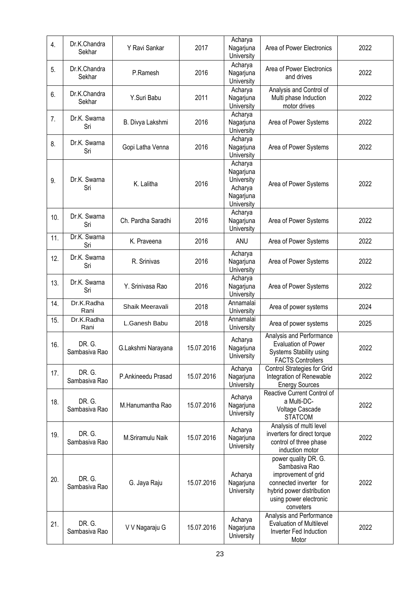| 4.  | Dr.K.Chandra<br>Sekhar  | Y Ravi Sankar      | 2017       | Acharya<br>Nagarjuna<br>University                                       | Area of Power Electronics                                                                                                                                  | 2022 |
|-----|-------------------------|--------------------|------------|--------------------------------------------------------------------------|------------------------------------------------------------------------------------------------------------------------------------------------------------|------|
| 5.  | Dr.K.Chandra<br>Sekhar  | P.Ramesh           | 2016       | Acharya<br>Nagarjuna<br>University                                       | Area of Power Electronics<br>and drives                                                                                                                    | 2022 |
| 6.  | Dr.K.Chandra<br>Sekhar  | Y.Suri Babu        | 2011       | Acharya<br>Nagarjuna<br>University                                       | Analysis and Control of<br>Multi phase Induction<br>motor drives                                                                                           | 2022 |
| 7.  | Dr.K. Swarna<br>Sri     | B. Divya Lakshmi   | 2016       | Acharya<br>Nagarjuna<br>University                                       | Area of Power Systems                                                                                                                                      | 2022 |
| 8.  | Dr.K. Swarna<br>Sri     | Gopi Latha Venna   | 2016       | Acharya<br>Nagarjuna<br>University                                       | Area of Power Systems                                                                                                                                      | 2022 |
| 9.  | Dr.K. Swarna<br>Sri     | K. Lalitha         | 2016       | Acharya<br>Nagarjuna<br>University<br>Acharya<br>Nagarjuna<br>University | Area of Power Systems                                                                                                                                      | 2022 |
| 10. | Dr.K. Swarna<br>Sri     | Ch. Pardha Saradhi | 2016       | Acharya<br>Nagarjuna<br>University                                       | Area of Power Systems                                                                                                                                      | 2022 |
| 11. | Dr.K. Swarna<br>Sri     | K. Praveena        | 2016       | ANU                                                                      | Area of Power Systems                                                                                                                                      | 2022 |
| 12. | Dr.K. Swarna<br>Sri     | R. Srinivas        | 2016       | Acharya<br>Nagarjuna<br>University                                       | Area of Power Systems                                                                                                                                      | 2022 |
| 13. | Dr.K. Swarna<br>Sri     | Y. Srinivasa Rao   | 2016       | Acharya<br>Nagarjuna<br>University                                       | Area of Power Systems                                                                                                                                      | 2022 |
| 14. | Dr.K.Radha<br>Rani      | Shaik Meeravali    | 2018       | Annamalai<br>University                                                  | Area of power systems                                                                                                                                      | 2024 |
| 15. | Dr.K.Radha<br>Rani      | L.Ganesh Babu      | 2018       | Annamalai<br>University                                                  | Area of power systems                                                                                                                                      | 2025 |
| 16. | DR. G.<br>Sambasiva Rao | G.Lakshmi Narayana | 15.07.2016 | Acharya<br>Nagarjuna<br>University                                       | Analysis and Performance<br><b>Evaluation of Power</b><br>Systems Stability using<br><b>FACTS Controllers</b>                                              | 2022 |
| 17. | DR. G.<br>Sambasiva Rao | P.Ankineedu Prasad | 15.07.2016 | Acharya<br>Nagarjuna<br>University                                       | Control Strategies for Grid<br>Integration of Renewable<br><b>Energy Sources</b>                                                                           | 2022 |
| 18. | DR. G.<br>Sambasiva Rao | M.Hanumantha Rao   | 15.07.2016 | Acharya<br>Nagarjuna<br>University                                       | Reactive Current Control of<br>a Multi-DC-<br>Voltage Cascade<br><b>STATCOM</b>                                                                            | 2022 |
| 19. | DR. G.<br>Sambasiva Rao | M.Sriramulu Naik   | 15.07.2016 | Acharya<br>Nagarjuna<br>University                                       | Analysis of multi level<br>inverters for direct torque<br>control of three phase<br>induction motor                                                        | 2022 |
| 20. | DR. G.<br>Sambasiva Rao | G. Jaya Raju       | 15.07.2016 | Acharya<br>Nagarjuna<br>University                                       | power quality DR. G.<br>Sambasiva Rao<br>improvement of grid<br>connected inverter for<br>hybrid power distribution<br>using power electronic<br>conveters | 2022 |
| 21. | DR. G.<br>Sambasiva Rao | V V Nagaraju G     | 15.07.2016 | Acharya<br>Nagarjuna<br>University                                       | Analysis and Performance<br><b>Evaluation of Multilevel</b><br>Inverter Fed Induction<br>Motor                                                             | 2022 |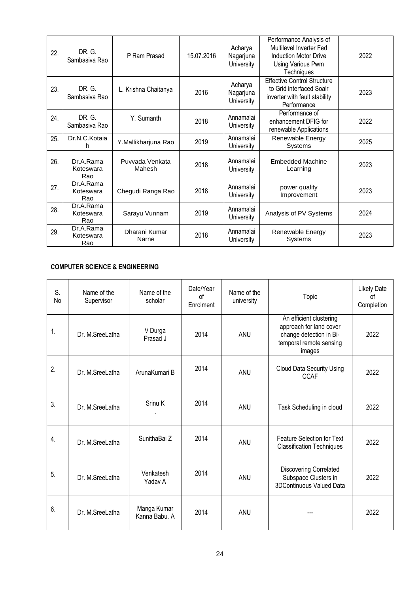| 22. | DR. G.<br>Sambasiva Rao       | P Ram Prasad              | 15.07.2016 | Acharya<br>Nagarjuna<br>University | Performance Analysis of<br>Multilevel Inverter Fed<br>Induction Motor Drive<br>Using Various Pwm<br><b>Techniques</b> | 2022 |
|-----|-------------------------------|---------------------------|------------|------------------------------------|-----------------------------------------------------------------------------------------------------------------------|------|
| 23. | DR. G.<br>Sambasiva Rao       | L. Krishna Chaitanya      | 2016       | Acharya<br>Nagarjuna<br>University | <b>Effective Control Structure</b><br>to Grid interfaced Soalr<br>inverter with fault stability<br>Performance        | 2023 |
| 24. | DR. G.<br>Sambasiva Rao       | Y. Sumanth                | 2018       | Annamalai<br>University            | Performance of<br>enhancement DFIG for<br>renewable Applications                                                      | 2022 |
| 25. | Dr.N.C.Kotaia<br>h            | Y.Mallikharjuna Rao       | 2019       | Annamalai<br>University            | Renewable Energy<br>Systems                                                                                           | 2025 |
| 26. | Dr.A.Rama<br>Koteswara<br>Rao | Puvvada Venkata<br>Mahesh | 2018       | Annamalai<br>University            | Embedded Machine<br>Learning                                                                                          | 2023 |
| 27. | Dr.A.Rama<br>Koteswara<br>Rao | Chegudi Ranga Rao         | 2018       | Annamalai<br>University            | power quality<br>Improvement                                                                                          | 2023 |
| 28. | Dr.A.Rama<br>Koteswara<br>Rao | Sarayu Vunnam             | 2019       | Annamalai<br>University            | Analysis of PV Systems                                                                                                | 2024 |
| 29. | Dr.A.Rama<br>Koteswara<br>Rao | Dharani Kumar<br>Narne    | 2018       | Annamalai<br>University            | Renewable Energy<br>Systems                                                                                           | 2023 |

### **COMPUTER SCIENCE & ENGINEERING**

| S.<br>No | Name of the<br>Supervisor | Name of the<br>scholar       | Date/Year<br>0f<br>Enrolment | Name of the<br>university | Topic                                                                                                              | <b>Likely Date</b><br>of<br>Completion |
|----------|---------------------------|------------------------------|------------------------------|---------------------------|--------------------------------------------------------------------------------------------------------------------|----------------------------------------|
| 1.       | Dr. M.Sreel atha          | V Durga<br>Prasad J          | 2014                         | <b>ANU</b>                | An efficient clustering<br>approach for land cover<br>change detection in Bi-<br>temporal remote sensing<br>images | 2022                                   |
| 2.       | Dr. M.SreeLatha           | ArunaKumari B                | 2014                         | ANU                       | <b>Cloud Data Security Using</b><br><b>CCAF</b>                                                                    | 2022                                   |
| 3.       | Dr. M.SreeLatha           | Srinu K                      | 2014                         | <b>ANU</b>                | Task Scheduling in cloud                                                                                           | 2022                                   |
| 4.       | Dr. M.SreeLatha           | SunithaBai Z                 | 2014                         | <b>ANU</b>                | <b>Feature Selection for Text</b><br><b>Classification Techniques</b>                                              | 2022                                   |
| 5.       | Dr. M.SreeLatha           | Venkatesh<br>Yadav A         | 2014                         | ANU                       | <b>Discovering Correlated</b><br>Subspace Clusters in<br>3DContinuous Valued Data                                  | 2022                                   |
| 6.       | Dr. M.Sreel atha          | Manga Kumar<br>Kanna Babu, A | 2014                         | <b>ANU</b>                |                                                                                                                    | 2022                                   |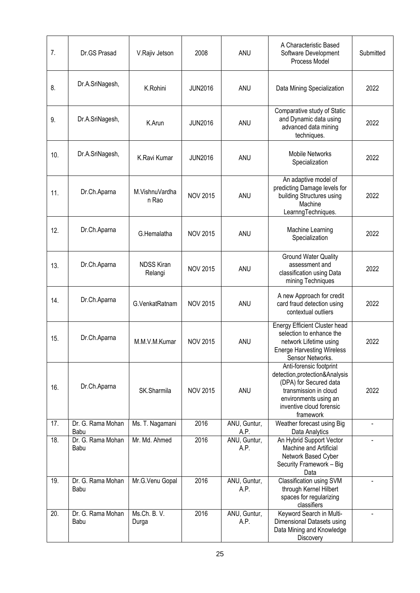| 7.  | Dr.GS Prasad              | V.Rajiv Jetson               | 2008            | ANU                  | A Characteristic Based<br>Software Development<br>Process Model                                                                                                                 | Submitted |
|-----|---------------------------|------------------------------|-----------------|----------------------|---------------------------------------------------------------------------------------------------------------------------------------------------------------------------------|-----------|
| 8.  | Dr.A.SriNagesh,           | K.Rohini                     | <b>JUN2016</b>  | ANU                  | Data Mining Specialization                                                                                                                                                      | 2022      |
| 9.  | Dr.A.SriNagesh,           | K.Arun                       | <b>JUN2016</b>  | ANU                  | Comparative study of Static<br>and Dynamic data using<br>advanced data mining<br>techniques.                                                                                    | 2022      |
| 10. | Dr.A.SriNagesh,           | K.Ravi Kumar                 | <b>JUN2016</b>  | ANU                  | <b>Mobile Networks</b><br>Specialization                                                                                                                                        | 2022      |
| 11. | Dr.Ch.Aparna              | M.VishnuVardha<br>n Rao      | <b>NOV 2015</b> | ANU                  | An adaptive model of<br>predicting Damage levels for<br>building Structures using<br>Machine<br>LearnngTechniques.                                                              | 2022      |
| 12. | Dr.Ch.Aparna              | G.Hemalatha                  | <b>NOV 2015</b> | ANU                  | Machine Learning<br>Specialization                                                                                                                                              | 2022      |
| 13. | Dr.Ch.Aparna              | <b>NDSS Kiran</b><br>Relangi | <b>NOV 2015</b> | ANU                  | <b>Ground Water Quality</b><br>assessment and<br>classification using Data<br>mining Techniques                                                                                 | 2022      |
| 14. | Dr.Ch.Aparna              | G.VenkatRatnam               | <b>NOV 2015</b> | ANU                  | A new Approach for credit<br>card fraud detection using<br>contextual outliers                                                                                                  | 2022      |
| 15. | Dr.Ch.Aparna              | M.M.V.M.Kumar                | <b>NOV 2015</b> | ANU                  | <b>Energy Efficient Cluster head</b><br>selection to enhance the<br>network Lifetime using<br><b>Energe Harvesting Wireless</b><br>Sensor Networks.                             | 2022      |
| 16. | Dr.Ch.Aparna              | SK.Sharmila                  | <b>NOV 2015</b> | ANU                  | Anti-forensic footprint<br>detection, protection& Analysis<br>(DPA) for Secured data<br>transmission in cloud<br>environments using an<br>inventive cloud forensic<br>framework | 2022      |
| 17. | Dr. G. Rama Mohan<br>Babu | Ms. T. Nagamani              | 2016            | ANU, Guntur,<br>A.P. | Weather forecast using Big<br>Data Analytics                                                                                                                                    |           |
| 18. | Dr. G. Rama Mohan<br>Babu | Mr. Md. Ahmed                | 2016            | ANU, Guntur,<br>A.P. | An Hybrid Support Vector<br>Machine and Artificial<br>Network Based Cyber<br>Security Framework - Big<br>Data                                                                   |           |
| 19. | Dr. G. Rama Mohan<br>Babu | Mr.G.Venu Gopal              | 2016            | ANU, Guntur,<br>A.P. | Classification using SVM<br>through Kernel Hilbert<br>spaces for regularizing<br>classifiers                                                                                    |           |
| 20. | Dr. G. Rama Mohan<br>Babu | Ms.Ch. B. V.<br>Durga        | 2016            | ANU, Guntur,<br>A.P. | Keyword Search in Multi-<br>Dimensional Datasets using<br>Data Mining and Knowledge<br>Discovery                                                                                |           |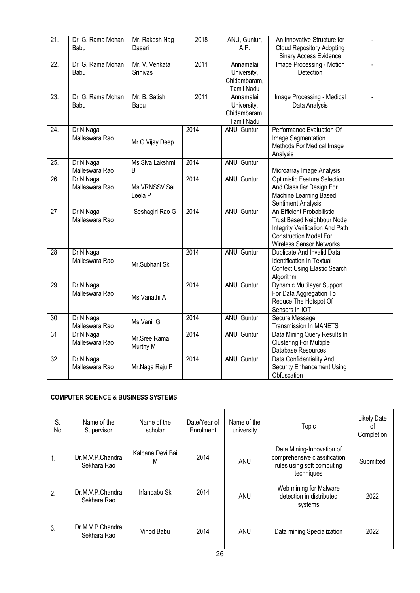| 21.               | Dr. G. Rama Mohan | Mr. Rakesh Nag  | 2018 | ANU, Guntur,      | An Innovative Structure for         |                |
|-------------------|-------------------|-----------------|------|-------------------|-------------------------------------|----------------|
|                   | Babu              | Dasari          |      | A.P.              | <b>Cloud Repository Adopting</b>    |                |
|                   |                   |                 |      |                   | <b>Binary Access Evidence</b>       |                |
| $\overline{22}$ . | Dr. G. Rama Mohan | Mr. V. Venkata  | 2011 | Annamalai         | Image Processing - Motion           | $\overline{a}$ |
|                   | Babu              | Srinivas        |      | University,       | Detection                           |                |
|                   |                   |                 |      | Chidambaram,      |                                     |                |
|                   |                   |                 |      |                   |                                     |                |
|                   |                   |                 |      | Tamil Nadu        |                                     |                |
| $\overline{23}$ . | Dr. G. Rama Mohan | Mr. B. Satish   | 2011 | Annamalai         | Image Processing - Medical          |                |
|                   | Babu              | Babu            |      | University,       | Data Analysis                       |                |
|                   |                   |                 |      | Chidambaram,      |                                     |                |
|                   |                   |                 |      | <b>Tamil Nadu</b> |                                     |                |
| $\overline{24}$ . | Dr.N.Naga         |                 | 2014 | ANU, Guntur       | Performance Evaluation Of           |                |
|                   | Malleswara Rao    | Mr.G.Vijay Deep |      |                   | Image Segmentation                  |                |
|                   |                   |                 |      |                   | Methods For Medical Image           |                |
|                   |                   |                 |      |                   | Analysis                            |                |
| 25.               | Dr.N.Naga         | Ms.Siva Lakshmi | 2014 | ANU, Guntur       |                                     |                |
|                   | Malleswara Rao    | B               |      |                   | Microarray Image Analysis           |                |
| $\overline{26}$   | Dr.N.Naga         |                 | 2014 | ANU, Guntur       | <b>Optimistic Feature Selection</b> |                |
|                   | Malleswara Rao    | Ms.VRNSSV Sai   |      |                   | And Classifier Design For           |                |
|                   |                   | Leela P         |      |                   | Machine Learning Based              |                |
|                   |                   |                 |      |                   | Sentiment Analysis                  |                |
| $\overline{27}$   | Dr.N.Naga         | Seshagiri Rao G | 2014 | ANU, Guntur       | An Efficient Probabilistic          |                |
|                   | Malleswara Rao    |                 |      |                   | <b>Trust Based Neighbour Node</b>   |                |
|                   |                   |                 |      |                   | Integrity Verification And Path     |                |
|                   |                   |                 |      |                   | <b>Construction Model For</b>       |                |
|                   |                   |                 |      |                   | <b>Wireless Sensor Networks</b>     |                |
| $\overline{28}$   | Dr.N.Naga         |                 | 2014 | ANU, Guntur       | Duplicate And Invalid Data          |                |
|                   | Malleswara Rao    |                 |      |                   | Identification In Textual           |                |
|                   |                   | Mr.Subhani Sk   |      |                   | <b>Context Using Elastic Search</b> |                |
|                   |                   |                 |      |                   | Algorithm                           |                |
| 29                | Dr.N.Naga         |                 | 2014 | ANU, Guntur       | Dynamic Multilayer Support          |                |
|                   | Malleswara Rao    |                 |      |                   | For Data Aggregation To             |                |
|                   |                   | Ms.Vanathi A    |      |                   | Reduce The Hotspot Of               |                |
|                   |                   |                 |      |                   | Sensors In IOT                      |                |
| $\overline{30}$   | Dr.N.Naga         |                 | 2014 | ANU, Guntur       | Secure Message                      |                |
|                   | Malleswara Rao    | Ms.Vani G       |      |                   | <b>Transmission In MANETS</b>       |                |
| $\overline{31}$   | Dr.N.Naga         |                 | 2014 | ANU, Guntur       | Data Mining Query Results In        |                |
|                   | Malleswara Rao    | Mr.Sree Rama    |      |                   | <b>Clustering For Multiple</b>      |                |
|                   |                   | Murthy M        |      |                   | Database Resources                  |                |
| $\overline{32}$   | Dr.N.Naga         |                 | 2014 | ANU, Guntur       | Data Confidentiality And            |                |
|                   | Malleswara Rao    | Mr.Naga Raju P  |      |                   | <b>Security Enhancement Using</b>   |                |
|                   |                   |                 |      |                   | Obfuscation                         |                |
|                   |                   |                 |      |                   |                                     |                |

## **COMPUTER SCIENCE & BUSINESS SYSTEMS**

| S.<br>No | Name of the<br>Supervisor       | Name of the<br>scholar | Date/Year of<br>Enrolment | Name of the<br>university | Topic                                                                                                 | <b>Likely Date</b><br>0t<br>Completion |
|----------|---------------------------------|------------------------|---------------------------|---------------------------|-------------------------------------------------------------------------------------------------------|----------------------------------------|
| 1.       | Dr.M.V.P.Chandra<br>Sekhara Rao | Kalpana Devi Bai<br>M  | 2014                      | <b>ANU</b>                | Data Mining-Innovation of<br>comprehensive classification<br>rules using soft computing<br>techniques | Submitted                              |
| 2.       | Dr.M.V.P.Chandra<br>Sekhara Rao | Irfanbabu Sk           | 2014                      | ANU                       | Web mining for Malware<br>detection in distributed<br>systems                                         | 2022                                   |
| 3.       | Dr.M.V.P.Chandra<br>Sekhara Rao | Vinod Babu             | 2014                      | ANU                       | Data mining Specialization                                                                            | 2022                                   |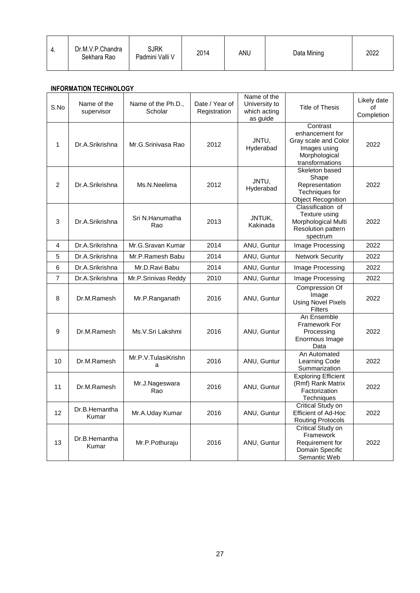| - 4. | Dr.M.V.P.Chandra<br>Sekhara Rao | <b>SJRK</b><br>Padmini Valli V | 2014 | ANU | Data Mining | 2022 |
|------|---------------------------------|--------------------------------|------|-----|-------------|------|
|      |                                 |                                |      |     |             |      |

### **INFORMATION TECHNOLOGY**

| S.No           | Name of the<br>supervisor | Name of the Ph.D.,<br>Scholar | Date / Year of<br>Registration | Name of the<br>University to<br>which acting<br>as guide | <b>Title of Thesis</b>                                                                                  | Likely date<br>of<br>Completion |
|----------------|---------------------------|-------------------------------|--------------------------------|----------------------------------------------------------|---------------------------------------------------------------------------------------------------------|---------------------------------|
| 1              | Dr.A.Srikrishna           | Mr.G.Srinivasa Rao            | 2012                           | JNTU,<br>Hyderabad                                       | Contrast<br>enhancement for<br>Gray scale and Color<br>Images using<br>Morphological<br>transformations | 2022                            |
| $\overline{2}$ | Dr.A.Srikrishna           | Ms.N.Neelima                  | 2012                           | JNTU.<br>Hyderabad                                       | Skeleton based<br>Shape<br>Representation<br>Techniques for<br><b>Object Recognition</b>                | 2022                            |
| 3              | Dr.A.Srikrishna           | Sri N.Hanumatha<br>Rao        | 2013                           | JNTUK,<br>Kakinada                                       | Classification of<br>Texture using<br>Morphological Multi<br><b>Resolution pattern</b><br>spectrum      | 2022                            |
| 4              | Dr.A.Srikrishna           | Mr.G.Sravan Kumar             | 2014                           | ANU, Guntur                                              | Image Processing                                                                                        | 2022                            |
| 5              | Dr.A.Srikrishna           | Mr.P.Ramesh Babu              | 2014                           | ANU, Guntur                                              | <b>Network Security</b>                                                                                 | 2022                            |
| 6              | Dr.A.Srikrishna           | Mr.D.Ravi Babu                | 2014                           | ANU, Guntur                                              | Image Processing                                                                                        | 2022                            |
| $\overline{7}$ | Dr.A.Srikrishna           | Mr.P.Srinivas Reddy           | 2010                           | ANU, Guntur                                              | Image Processing                                                                                        | 2022                            |
| 8              | Dr.M.Ramesh               | Mr.P.Ranganath                | 2016                           | ANU, Guntur                                              | Compression Of<br>Image<br><b>Using Novel Pixels</b><br><b>Filters</b>                                  | 2022                            |
| 9              | Dr.M.Ramesh               | Ms.V.Sri Lakshmi              | 2016                           | ANU, Guntur                                              | An Ensemble<br>Framework For<br>Processing<br>Enormous Image<br>Data                                    | 2022                            |
| 10             | Dr.M.Ramesh               | Mr.P.V.TulasiKrishn<br>a      | 2016                           | ANU, Guntur                                              | An Automated<br>Learning Code<br>Summarization                                                          | 2022                            |
| 11             | Dr.M.Ramesh               | Mr.J.Nageswara<br>Rao         | 2016                           | ANU, Guntur                                              | <b>Exploring Efficient</b><br>(Rmf) Rank Matrix<br>Factorization<br>Techniques                          | 2022                            |
| 12             | Dr.B.Hemantha<br>Kumar    | Mr.A.Uday Kumar               | 2016                           | ANU, Guntur                                              | Critical Study on<br><b>Efficient of Ad-Hoc</b><br><b>Routing Protocols</b>                             | 2022                            |
| 13             | Dr.B.Hemantha<br>Kumar    | Mr.P.Pothuraju                | 2016                           | ANU, Guntur                                              | Critical Study on<br>Framework<br>Requirement for<br>Domain Specific<br>Semantic Web                    | 2022                            |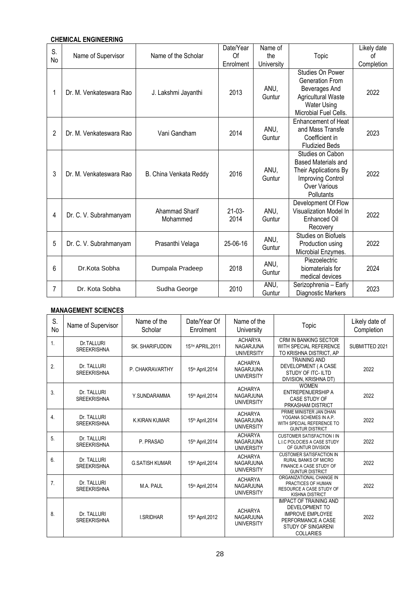### **CHEMICAL ENGINEERING**

| S. |                         |                            | Date/Year        | Name of        |                                                                                                                                          | Likely date |
|----|-------------------------|----------------------------|------------------|----------------|------------------------------------------------------------------------------------------------------------------------------------------|-------------|
|    | Name of Supervisor      | Name of the Scholar        | Of               | the            | Topic                                                                                                                                    | Ωf          |
| No |                         |                            | Enrolment        | University     |                                                                                                                                          | Completion  |
| 1  | Dr. M. Venkateswara Rao | J. Lakshmi Jayanthi        | 2013             | ANU,<br>Guntur | Studies On Power<br>Generation From<br>Beverages And<br><b>Agricultural Waste</b><br><b>Water Using</b><br><b>Microbial Fuel Cells.</b>  | 2022        |
| 2  | Dr. M. Venkateswara Rao | Vani Gandham               | 2014             | ANU,<br>Guntur | Enhancement of Heat<br>and Mass Transfe<br>Coefficient in<br><b>Fludizied Beds</b>                                                       | 2023        |
| 3  | Dr. M. Venkateswara Rao | B. China Venkata Reddy     | 2016             | ANU.<br>Guntur | Studies on Cabon<br><b>Based Materials and</b><br>Their Applications By<br><b>Improving Control</b><br><b>Over Various</b><br>Pollutants | 2022        |
| 4  | Dr. C. V. Subrahmanyam  | Ahammad Sharif<br>Mohammed | $21-03-$<br>2014 | ANU,<br>Guntur | Development Of Flow<br>Visualization Model In<br>Enhanced Oil<br>Recovery                                                                | 2022        |
| 5  | Dr. C. V. Subrahmanyam  | Prasanthi Velaga           | 25-06-16         | ANU.<br>Guntur | Studies on Biofuels<br>Production using<br>Microbial Enzymes.                                                                            | 2022        |
| 6  | Dr.Kota Sobha           | Dumpala Pradeep            | 2018             | ANU,<br>Guntur | Piezoelectric<br>biomaterials for<br>medical devices                                                                                     | 2024        |
| 7  | Dr. Kota Sobha          | Sudha George               | 2010             | ANU,<br>Guntur | Serizophrenia - Early<br>Diagnostic Markers                                                                                              | 2023        |

### **MANAGEMENT SCIENCES**

| S.<br>No         | Name of Supervisor                | Name of the<br>Scholar | Date/Year Of<br>Enrolment | Name of the<br>University                               | Topic                                                                                                                                             | Likely date of<br>Completion |
|------------------|-----------------------------------|------------------------|---------------------------|---------------------------------------------------------|---------------------------------------------------------------------------------------------------------------------------------------------------|------------------------------|
| 1.               | Dr.TALLURI<br><b>SREEKRISHNA</b>  | SK. SHARIFUDDIN        | 15TH APRIL.2011           | <b>ACHARYA</b><br><b>NAGARJUNA</b><br><b>UNIVERSITY</b> | <b>CRM IN BANKING SECTOR</b><br>WITH SPECIAL REFERENCE<br>TO KRISHNA DISTRICT, AP                                                                 | SUBMITTED 2021               |
| 2.               | Dr. TALLURI<br><b>SREEKRISHNA</b> | P. CHAKRAVARTHY        | 15th April, 2014          | <b>ACHARYA</b><br><b>NAGARJUNA</b><br><b>UNIVERSITY</b> | <b>TRAINING AND</b><br>DEVELOPMENT ( A CASE<br>STUDY OF ITC- ILTD<br>DIVISION, KRISHNA DT)                                                        | 2022                         |
| 3.               | Dr. TALLURI<br><b>SREEKRISHNA</b> | Y.SUNDARAMMA           | 15th April, 2014          | <b>ACHARYA</b><br>NAGARJUNA<br><b>UNIVERSITY</b>        | <b>WOMEN</b><br><b>ENTREPENUERSHIP A</b><br><b>CASE STUDY OF</b><br>PRKASHAM DISTRICT                                                             | 2022                         |
| $\overline{4}$ . | Dr. TALLURI<br><b>SREEKRISHNA</b> | <b>K.KIRAN KUMAR</b>   | 15th April, 2014          | <b>ACHARYA</b><br><b>NAGARJUNA</b><br><b>UNIVERSITY</b> | PRIME MINISTER JAN DHAN<br>YOGANA SCHEMES IN A.P.<br>WITH SPECIAL REFERENCE TO<br><b>GUNTUR DISTRICT</b>                                          | 2022                         |
| 5.               | Dr. TALLURI<br><b>SREEKRISHNA</b> | P. PRASAD              | 15th April, 2014          | <b>ACHARYA</b><br><b>NAGARJUNA</b><br><b>UNIVERSITY</b> | <b>CUSTOMER SATISFACTION IIN</b><br>L.I.C POLOCIES A CASE STUDY<br>OF GUNTUR DIVISION                                                             | 2022                         |
| 6.               | Dr. TALLURI<br><b>SREEKRISHNA</b> | <b>G.SATISH KUMAR</b>  | 15th April, 2014          | <b>ACHARYA</b><br><b>NAGARJUNA</b><br><b>UNIVERSITY</b> | <b>CUSTOMER SATISFACTION IN</b><br><b>RURAL BANKS OF MICRO</b><br>FINANCE A CASE STUDY OF<br><b>GUNTUR DISTRICT</b>                               | 2022                         |
| 7.               | Dr. TALLURI<br><b>SREEKRISHNA</b> | M.A. PAUL              | 15th April, 2014          | <b>ACHARYA</b><br><b>NAGARJUNA</b><br><b>UNIVERSITY</b> | ORGANIZATIONAL CHANGE IN<br>PRACTICES OF HUMAN<br>RESOURCE A CASE STUDY OF<br><b>KISHNA DISTRICT</b>                                              | 2022                         |
| 8.               | Dr. TALLURI<br><b>SREEKRISHNA</b> | <b>I.SRIDHAR</b>       | 15th April, 2012          | <b>ACHARYA</b><br><b>NAGARJUNA</b><br><b>UNIVERSITY</b> | <b>IMPACT OF TRAINING AND</b><br>DEVELOPMENT TO<br><b>IMPROVE EMPLOYEE</b><br>PERFORMANCE A CASE<br><b>STUDY OF SINGARENI</b><br><b>COLLARIES</b> | 2022                         |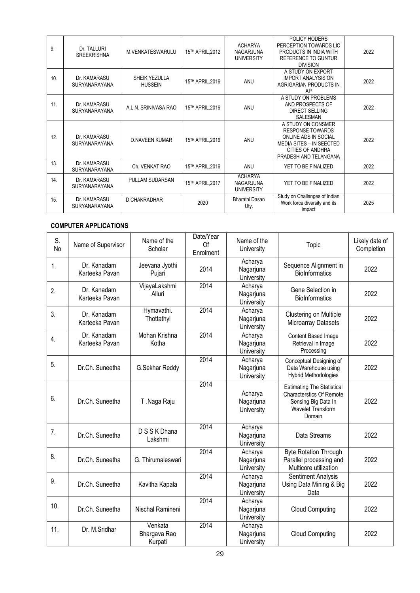| 9.  | Dr. TALLURI<br><b>SREEKRISHNA</b>    | M.VENKATESWARULU                | 15TH APRIL, 2012            | <b>ACHARYA</b><br>NAGARJUNA<br><b>UNIVERSITY</b> | POLICY HODERS<br>PERCEPTION TOWARDS LIC<br>PRODUCTS IN INDIA WITH<br><b>REFERENCE TO GUNTUR</b><br><b>DIVISION</b>                                           | 2022 |
|-----|--------------------------------------|---------------------------------|-----------------------------|--------------------------------------------------|--------------------------------------------------------------------------------------------------------------------------------------------------------------|------|
| 10. | Dr. KAMARASU<br><b>SURYANARAYANA</b> | SHEIK YEZULLA<br><b>HUSSEIN</b> | 15TH APRIL, 2016            | ANU                                              | A STUDY ON EXPORT<br><b>IMPORT ANALYSIS ON</b><br>AGRIGARIAN PRODUCTS IN<br>AP                                                                               | 2022 |
| 11. | Dr. KAMARASU<br><b>SURYANARAYANA</b> | A.L.N. SRINIVASA RAO            | 15TH APRIL, 2016            | ANU                                              | A STUDY ON PROBLEMS<br>AND PROSPECTS OF<br><b>DIRECT SELLING</b><br>SALESMAN                                                                                 | 2022 |
| 12. | Dr. KAMARASU<br><b>SURYANARAYANA</b> | <b>D.NAVEEN KUMAR</b>           | 15 <sup>TH</sup> APRIL.2016 | ANU                                              | A STUDY ON CONSMER<br><b>RESPONSE TOWARDS</b><br>ONLINE ADS IN SOCIAL<br><b>MEDIA SITES - IN SEECTED</b><br><b>CITIES OF ANDHRA</b><br>PRADESH AND TELANGANA | 2022 |
| 13. | Dr. KAMARASU<br><b>SURYANARAYANA</b> | Ch. VENKAT RAO                  | 15TH APRIL, 2016            | ANU                                              | YET TO BE FINALIZED                                                                                                                                          | 2022 |
| 14. | Dr. KAMARASU<br><b>SURYANARAYANA</b> | PULLAM SUDARSAN                 | 15TH APRIL, 2017            | <b>ACHARYA</b><br>NAGARJUNA<br><b>UNIVERSITY</b> | YET TO BE FINALIZED                                                                                                                                          | 2022 |
| 15. | Dr. KAMARASU<br><b>SURYANARAYANA</b> | <b>D.CHAKRADHAR</b>             | 2020                        | Bharathi Dasan<br>Uty.                           | Study on Challanges of Indian<br>Work force diversity and its<br>impact                                                                                      | 2025 |

### **COMPUTER APPLICATIONS**

| S.<br><b>No</b> | Name of Supervisor            | Name of the<br>Scholar             | Date/Year<br>Of<br>Enrolment | Name of the<br>University          | Topic                                                                                                                             | Likely date of<br>Completion |
|-----------------|-------------------------------|------------------------------------|------------------------------|------------------------------------|-----------------------------------------------------------------------------------------------------------------------------------|------------------------------|
| 1.              | Dr. Kanadam<br>Karteeka Pavan | Jeevana Jyothi<br>Pujari           | 2014                         | Acharya<br>Nagarjuna<br>University | Sequence Alignment in<br><b>BioInformatics</b>                                                                                    | 2022                         |
| 2.              | Dr. Kanadam<br>Karteeka Pavan | VijayaLakshmi<br>Alluri            | 2014                         | Acharya<br>Nagarjuna<br>University | Gene Selection in<br><b>BioInformatics</b>                                                                                        | 2022                         |
| 3.              | Dr. Kanadam<br>Karteeka Pavan | Hymavathi.<br>Thottathyl           | 2014                         | Acharya<br>Nagarjuna<br>University | Clustering on Multiple<br>Microarray Datasets                                                                                     | 2022                         |
| 4.              | Dr. Kanadam<br>Karteeka Pavan | Mohan Krishna<br>Kotha             | 2014                         | Acharya<br>Nagarjuna<br>University | Content Based Image<br>Retrieval in Image<br>Processing                                                                           | 2022                         |
| 5.              | Dr.Ch. Suneetha               | G.Sekhar Reddy                     | 2014                         | Acharya<br>Nagarjuna<br>University | Conceptual Designing of<br>Data Warehouse using<br><b>Hybrid Methodologies</b>                                                    | 2022                         |
| 6.              | Dr.Ch. Suneetha               | T.Naga Raju                        | 2014                         | Acharya<br>Nagarjuna<br>University | <b>Estimating The Statistical</b><br><b>Characterstics Of Remote</b><br>Sensing Big Data In<br><b>Wavelet Transform</b><br>Domain | 2022                         |
| 7.              | Dr.Ch. Suneetha               | D S S K Dhana<br>Lakshmi           | 2014                         | Acharya<br>Nagarjuna<br>University | Data Streams                                                                                                                      | 2022                         |
| 8.              | Dr.Ch. Suneetha               | G. Thirumaleswari                  | 2014                         | Acharya<br>Nagarjuna<br>University | <b>Byte Rotation Through</b><br>Parallel processing and<br>Multicore utilization                                                  | 2022                         |
| 9.              | Dr.Ch. Suneetha               | Kavitha Kapala                     | 2014                         | Acharya<br>Nagarjuna<br>University | Sentiment Analysis<br>Using Data Mining & Big<br>Data                                                                             | 2022                         |
| 10.             | Dr.Ch. Suneetha               | Nischal Ramineni                   | 2014                         | Acharya<br>Nagarjuna<br>University | <b>Cloud Computing</b>                                                                                                            | 2022                         |
| 11.             | Dr. M.Sridhar                 | Venkata<br>Bhargava Rao<br>Kurpati | 2014                         | Acharya<br>Nagarjuna<br>University | <b>Cloud Computing</b>                                                                                                            | 2022                         |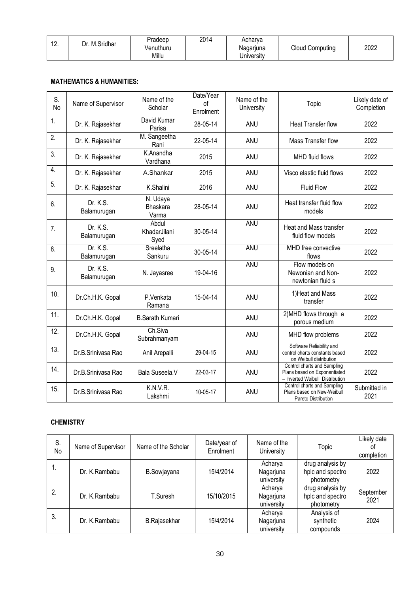| $\overline{1}$<br>. | Dr. M.Sridhar | Pradeep<br>√enuthuru | 2014 | Acharva<br>Nagarjuna | <b>Cloud Computing</b> | 2022 |
|---------------------|---------------|----------------------|------|----------------------|------------------------|------|
|                     |               | Millu                |      | Jniversitv           |                        |      |

#### **MATHEMATICS & HUMANITIES:**

| S.<br>No         | Name of Supervisor      | Name of the<br>Scholar               | Date/Year<br>of<br>Enrolment | Name of the<br>University | Topic                                                                                          | Likely date of<br>Completion |
|------------------|-------------------------|--------------------------------------|------------------------------|---------------------------|------------------------------------------------------------------------------------------------|------------------------------|
| 1.               | Dr. K. Rajasekhar       | David Kumar<br>Parisa                | 28-05-14                     | <b>ANU</b>                | <b>Heat Transfer flow</b>                                                                      | 2022                         |
| 2.               | Dr. K. Rajasekhar       | M. Sangeetha<br>Rani                 | 22-05-14                     | <b>ANU</b>                | Mass Transfer flow                                                                             | 2022                         |
| 3.               | Dr. K. Rajasekhar       | K.Anandha<br>Vardhana                | 2015                         | <b>ANU</b>                | <b>MHD</b> fluid flows                                                                         | 2022                         |
| 4.               | Dr. K. Rajasekhar       | A.Shankar                            | 2015                         | <b>ANU</b>                | Visco elastic fluid flows                                                                      | 2022                         |
| $\overline{5}$ . | Dr. K. Rajasekhar       | K.Shalini                            | 2016                         | <b>ANU</b>                | <b>Fluid Flow</b>                                                                              | 2022                         |
| 6.               | Dr. K.S.<br>Balamurugan | N. Udaya<br><b>Bhaskara</b><br>Varma | 28-05-14                     | ANU                       | Heat transfer fluid flow<br>models                                                             | 2022                         |
| 7.               | Dr. K.S.<br>Balamurugan | Abdul<br>KhadarJilani<br>Syed        | 30-05-14                     | ANU                       | Heat and Mass transfer<br>fluid flow models                                                    | 2022                         |
| 8.               | Dr. K.S.<br>Balamurugan | Sreelatha<br>Sankuru                 | 30-05-14                     | <b>ANU</b>                | MHD free convective<br>flows                                                                   | 2022                         |
| 9.               | Dr. K.S.<br>Balamurugan | N. Jayasree                          | 19-04-16                     | <b>ANU</b>                | Flow models on<br>Newonian and Non-<br>newtonian fluid s                                       | 2022                         |
| 10.              | Dr.Ch.H.K. Gopal        | P.Venkata<br>Ramana                  | 15-04-14                     | <b>ANU</b>                | 1) Heat and Mass<br>transfer                                                                   | 2022                         |
| 11.              | Dr.Ch.H.K. Gopal        | <b>B.Sarath Kumari</b>               |                              | <b>ANU</b>                | 2) MHD flows through a<br>porous medium                                                        | 2022                         |
| 12.              | Dr.Ch.H.K. Gopal        | Ch.Siva<br>Subrahmanyam              |                              | ANU                       | MHD flow problems                                                                              | 2022                         |
| 13.              | Dr.B.Srinivasa Rao      | Anil Arepalli                        | 29-04-15                     | ANU                       | Software Reliability and<br>control charts constants based<br>on Weibull distribution          | 2022                         |
| 14.              | Dr.B.Srinivasa Rao      | Bala Suseela.V                       | 22-03-17                     | ANU                       | Control charts and Sampling<br>Plans based on Exponentiated<br>- Inverted Weibull Distribution | 2022                         |
| 15.              | Dr.B.Srinivasa Rao      | K.N.V.R.<br>Lakshmi                  | 10-05-17                     | <b>ANU</b>                | Control charts and Sampling<br>Plans based on New-Weibull<br>Pareto Distribution               | Submitted in<br>2021         |

### **CHEMISTRY**

| S.<br>No | Name of Supervisor | Name of the Scholar | Date/year of<br>Enrolment | Name of the<br>University          | Topic                                              | Likely date<br>0t<br>completion |
|----------|--------------------|---------------------|---------------------------|------------------------------------|----------------------------------------------------|---------------------------------|
| п.       | Dr. K.Rambabu      | <b>B.Sowjayana</b>  | 15/4/2014                 | Acharya<br>Nagarjuna<br>university | drug analysis by<br>hplc and spectro<br>photometry | 2022                            |
| 2.       | Dr. K.Rambabu      | T.Suresh            | 15/10/2015                | Acharya<br>Nagarjuna<br>university | drug analysis by<br>hplc and spectro<br>photometry | September<br>2021               |
| 3.       | Dr. K.Rambabu      | <b>B.Rajasekhar</b> | 15/4/2014                 | Acharya<br>Nagarjuna<br>university | Analysis of<br>synthetic<br>compounds              | 2024                            |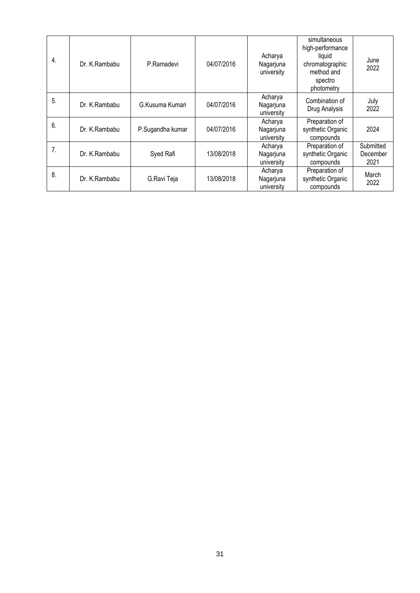| 4. | Dr. K.Rambabu | P.Ramadevi       | 04/07/2016 | Acharya<br>Nagarjuna<br>university | simultaneous<br>high-performance<br>liguid<br>chromatographic<br>method and<br>spectro<br>photometry | June<br>2022                  |
|----|---------------|------------------|------------|------------------------------------|------------------------------------------------------------------------------------------------------|-------------------------------|
| 5. | Dr. K.Rambabu | G.Kusuma Kumari  | 04/07/2016 | Acharya<br>Nagarjuna<br>university | Combination of<br>Drug Analysis                                                                      | July<br>2022                  |
| 6. | Dr. K.Rambabu | P.Sugandha kumar | 04/07/2016 | Acharya<br>Nagarjuna<br>university | Preparation of<br>synthetic Organic<br>compounds                                                     | 2024                          |
| 7. | Dr. K.Rambabu | Syed Rafi        | 13/08/2018 | Acharya<br>Nagarjuna<br>university | Preparation of<br>synthetic Organic<br>compounds                                                     | Submitted<br>December<br>2021 |
| 8. | Dr. K.Rambabu | G.Ravi Teja      | 13/08/2018 | Acharya<br>Nagarjuna<br>university | Preparation of<br>synthetic Organic<br>compounds                                                     | March<br>2022                 |